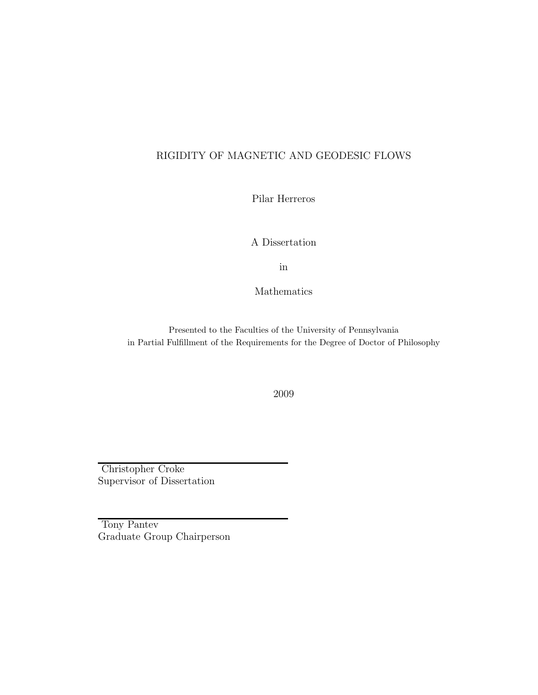## RIGIDITY OF MAGNETIC AND GEODESIC FLOWS

Pilar Herreros

A Dissertation

in

Mathematics

Presented to the Faculties of the University of Pennsylvania in Partial Fulfillment of the Requirements for the Degree of Doctor of Philosophy

2009

Christopher Croke Supervisor of Dissertation

Tony Pantev Graduate Group Chairperson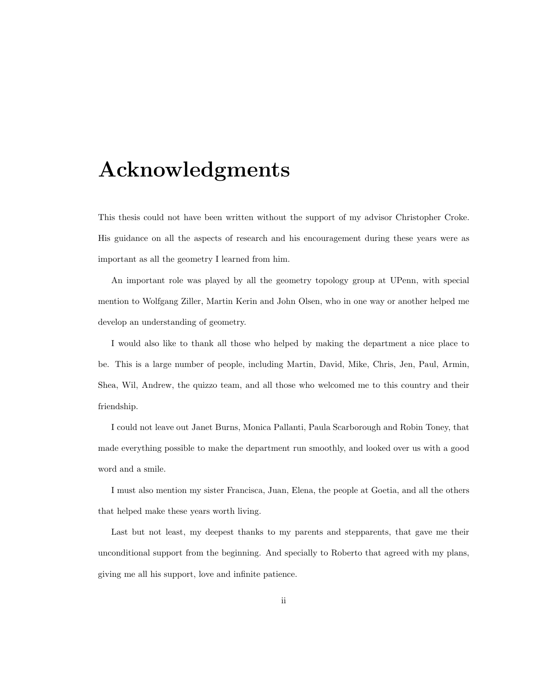# Acknowledgments

This thesis could not have been written without the support of my advisor Christopher Croke. His guidance on all the aspects of research and his encouragement during these years were as important as all the geometry I learned from him.

An important role was played by all the geometry topology group at UPenn, with special mention to Wolfgang Ziller, Martin Kerin and John Olsen, who in one way or another helped me develop an understanding of geometry.

I would also like to thank all those who helped by making the department a nice place to be. This is a large number of people, including Martin, David, Mike, Chris, Jen, Paul, Armin, Shea, Wil, Andrew, the quizzo team, and all those who welcomed me to this country and their friendship.

I could not leave out Janet Burns, Monica Pallanti, Paula Scarborough and Robin Toney, that made everything possible to make the department run smoothly, and looked over us with a good word and a smile.

I must also mention my sister Francisca, Juan, Elena, the people at Goetia, and all the others that helped make these years worth living.

Last but not least, my deepest thanks to my parents and stepparents, that gave me their unconditional support from the beginning. And specially to Roberto that agreed with my plans, giving me all his support, love and infinite patience.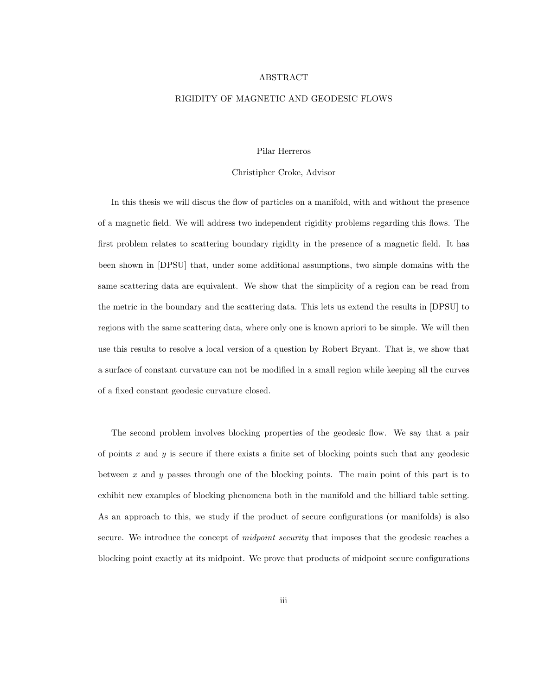#### ABSTRACT

#### RIGIDITY OF MAGNETIC AND GEODESIC FLOWS

#### Pilar Herreros

#### Christipher Croke, Advisor

In this thesis we will discus the flow of particles on a manifold, with and without the presence of a magnetic field. We will address two independent rigidity problems regarding this flows. The first problem relates to scattering boundary rigidity in the presence of a magnetic field. It has been shown in [DPSU] that, under some additional assumptions, two simple domains with the same scattering data are equivalent. We show that the simplicity of a region can be read from the metric in the boundary and the scattering data. This lets us extend the results in [DPSU] to regions with the same scattering data, where only one is known apriori to be simple. We will then use this results to resolve a local version of a question by Robert Bryant. That is, we show that a surface of constant curvature can not be modified in a small region while keeping all the curves of a fixed constant geodesic curvature closed.

The second problem involves blocking properties of the geodesic flow. We say that a pair of points  $x$  and  $y$  is secure if there exists a finite set of blocking points such that any geodesic between x and y passes through one of the blocking points. The main point of this part is to exhibit new examples of blocking phenomena both in the manifold and the billiard table setting. As an approach to this, we study if the product of secure configurations (or manifolds) is also secure. We introduce the concept of *midpoint security* that imposes that the geodesic reaches a blocking point exactly at its midpoint. We prove that products of midpoint secure configurations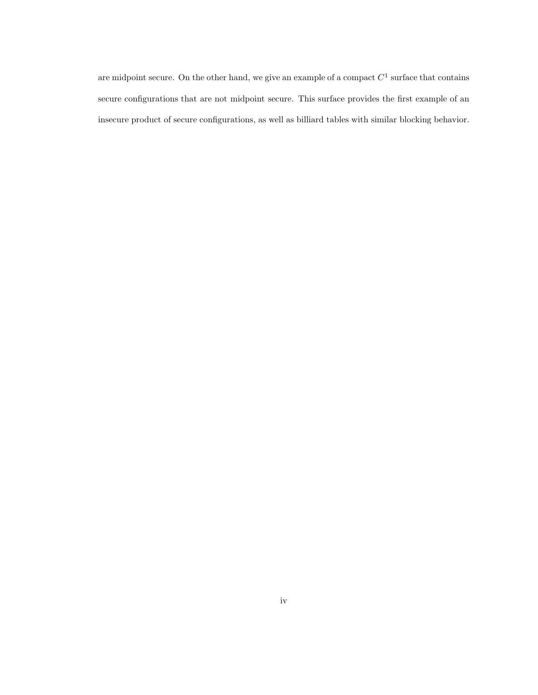are midpoint secure. On the other hand, we give an example of a compact  $C^1$  surface that contains secure configurations that are not midpoint secure. This surface provides the first example of an insecure product of secure configurations, as well as billiard tables with similar blocking behavior.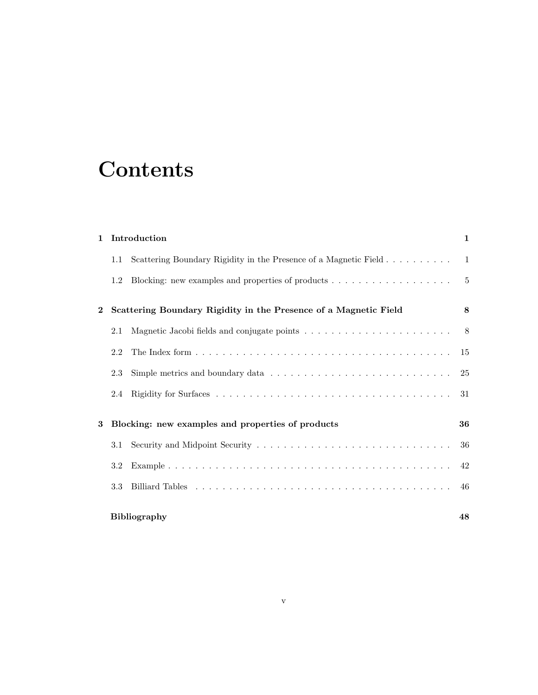# **Contents**

| $\mathbf{1}$ |     | Introduction                                                       | $\mathbf{1}$ |
|--------------|-----|--------------------------------------------------------------------|--------------|
|              | 1.1 | Scattering Boundary Rigidity in the Presence of a Magnetic Field 1 |              |
|              | 1.2 |                                                                    |              |
| $\mathbf 2$  |     | Scattering Boundary Rigidity in the Presence of a Magnetic Field   | 8            |
|              | 2.1 |                                                                    |              |
|              | 2.2 |                                                                    |              |
|              | 2.3 |                                                                    |              |
|              | 2.4 |                                                                    |              |
| 3            |     | Blocking: new examples and properties of products                  | 36           |
|              | 3.1 |                                                                    | 36           |
|              | 3.2 |                                                                    | 42           |
|              | 3.3 |                                                                    |              |
|              |     | Bibliography                                                       | 48           |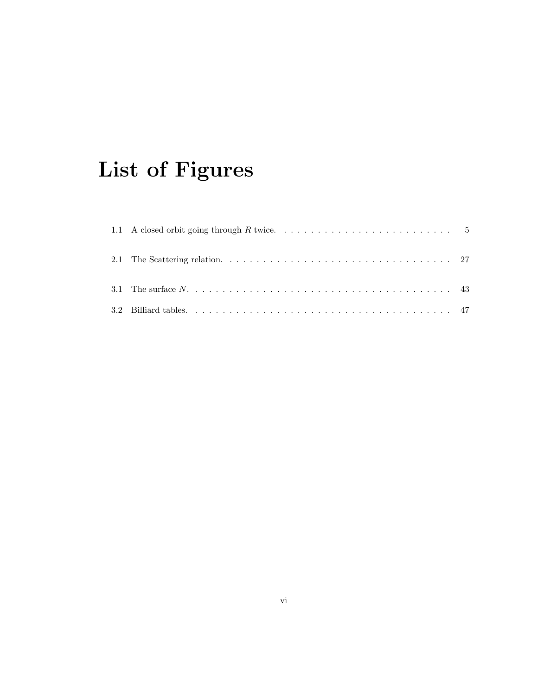# List of Figures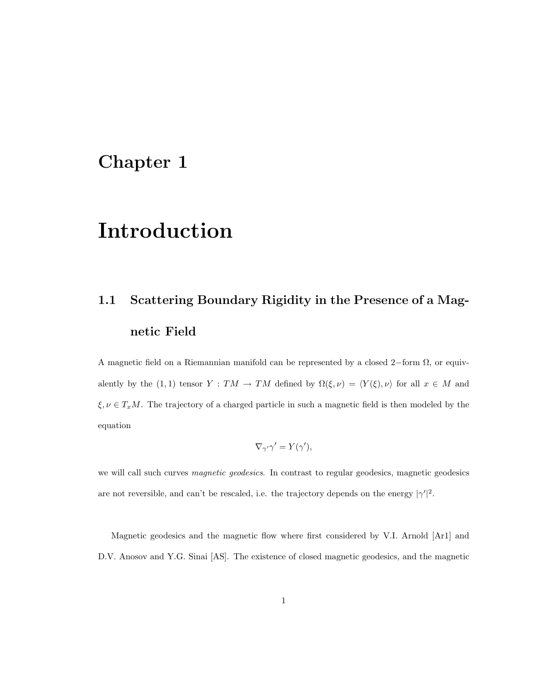# Chapter 1

# Introduction

# 1.1 Scattering Boundary Rigidity in the Presence of a Magnetic Field

A magnetic field on a Riemannian manifold can be represented by a closed 2–form  $\Omega$ , or equivalently by the (1,1) tensor  $Y : TM \to TM$  defined by  $\Omega(\xi, \nu) = \langle Y(\xi), \nu \rangle$  for all  $x \in M$  and  $\xi, \nu \in T_xM$ . The trajectory of a charged particle in such a magnetic field is then modeled by the equation

$$
\nabla_{\gamma'}\gamma' = Y(\gamma'),
$$

we will call such curves magnetic geodesics. In contrast to regular geodesics, magnetic geodesics are not reversible, and can't be rescaled, i.e. the trajectory depends on the energy  $|\gamma'|^2$ .

Magnetic geodesics and the magnetic flow where first considered by V.I. Arnold [Ar1] and D.V. Anosov and Y.G. Sinai [AS]. The existence of closed magnetic geodesics, and the magnetic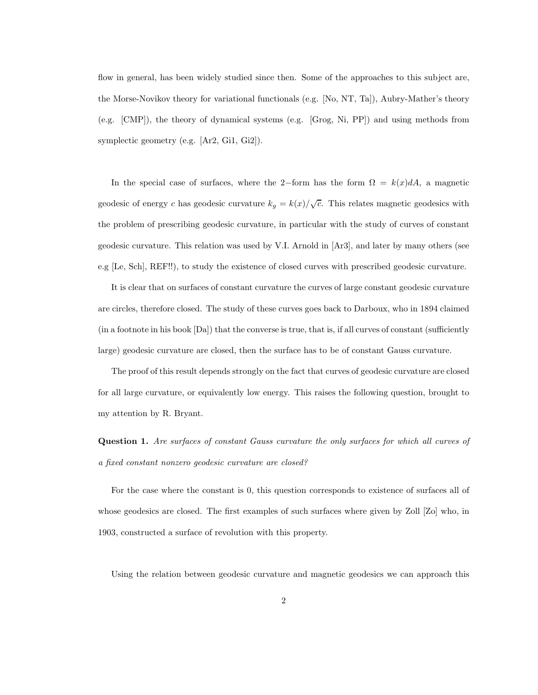flow in general, has been widely studied since then. Some of the approaches to this subject are, the Morse-Novikov theory for variational functionals (e.g. [No, NT, Ta]), Aubry-Mather's theory (e.g. [CMP]), the theory of dynamical systems (e.g. [Grog, Ni, PP]) and using methods from symplectic geometry (e.g. [Ar2, Gi1, Gi2]).

In the special case of surfaces, where the 2-form has the form  $\Omega = k(x)dA$ , a magnetic geodesic of energy c has geodesic curvature  $k_g = k(x)/\sqrt{c}$ . This relates magnetic geodesics with the problem of prescribing geodesic curvature, in particular with the study of curves of constant geodesic curvature. This relation was used by V.I. Arnold in [Ar3], and later by many others (see e.g [Le, Sch], REF!!), to study the existence of closed curves with prescribed geodesic curvature.

It is clear that on surfaces of constant curvature the curves of large constant geodesic curvature are circles, therefore closed. The study of these curves goes back to Darboux, who in 1894 claimed (in a footnote in his book [Da]) that the converse is true, that is, if all curves of constant (sufficiently large) geodesic curvature are closed, then the surface has to be of constant Gauss curvature.

The proof of this result depends strongly on the fact that curves of geodesic curvature are closed for all large curvature, or equivalently low energy. This raises the following question, brought to my attention by R. Bryant.

Question 1. Are surfaces of constant Gauss curvature the only surfaces for which all curves of a fixed constant nonzero geodesic curvature are closed?

For the case where the constant is 0, this question corresponds to existence of surfaces all of whose geodesics are closed. The first examples of such surfaces where given by Zoll [Zo] who, in 1903, constructed a surface of revolution with this property.

Using the relation between geodesic curvature and magnetic geodesics we can approach this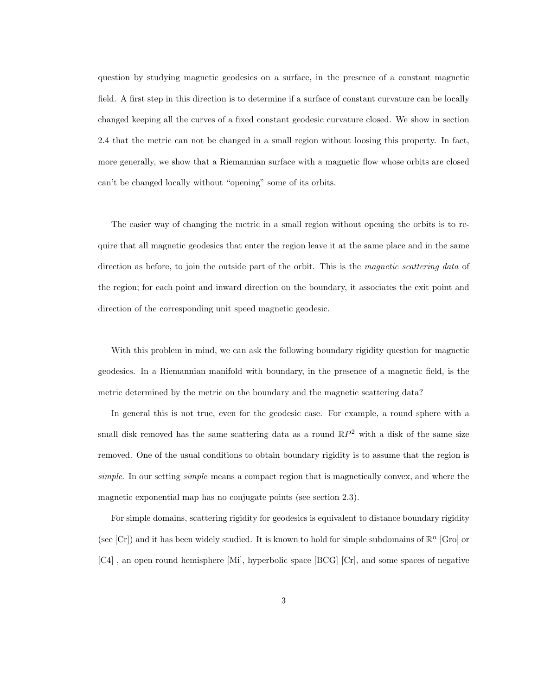question by studying magnetic geodesics on a surface, in the presence of a constant magnetic field. A first step in this direction is to determine if a surface of constant curvature can be locally changed keeping all the curves of a fixed constant geodesic curvature closed. We show in section 2.4 that the metric can not be changed in a small region without loosing this property. In fact, more generally, we show that a Riemannian surface with a magnetic flow whose orbits are closed can't be changed locally without "opening" some of its orbits.

The easier way of changing the metric in a small region without opening the orbits is to require that all magnetic geodesics that enter the region leave it at the same place and in the same direction as before, to join the outside part of the orbit. This is the *magnetic scattering data* of the region; for each point and inward direction on the boundary, it associates the exit point and direction of the corresponding unit speed magnetic geodesic.

With this problem in mind, we can ask the following boundary rigidity question for magnetic geodesics. In a Riemannian manifold with boundary, in the presence of a magnetic field, is the metric determined by the metric on the boundary and the magnetic scattering data?

In general this is not true, even for the geodesic case. For example, a round sphere with a small disk removed has the same scattering data as a round  $\mathbb{R}P^2$  with a disk of the same size removed. One of the usual conditions to obtain boundary rigidity is to assume that the region is simple. In our setting *simple* means a compact region that is magnetically convex, and where the magnetic exponential map has no conjugate points (see section 2.3).

For simple domains, scattering rigidity for geodesics is equivalent to distance boundary rigidity (see [Cr]) and it has been widely studied. It is known to hold for simple subdomains of  $\mathbb{R}^n$  [Gro] or [C4] , an open round hemisphere [Mi], hyperbolic space [BCG] [Cr], and some spaces of negative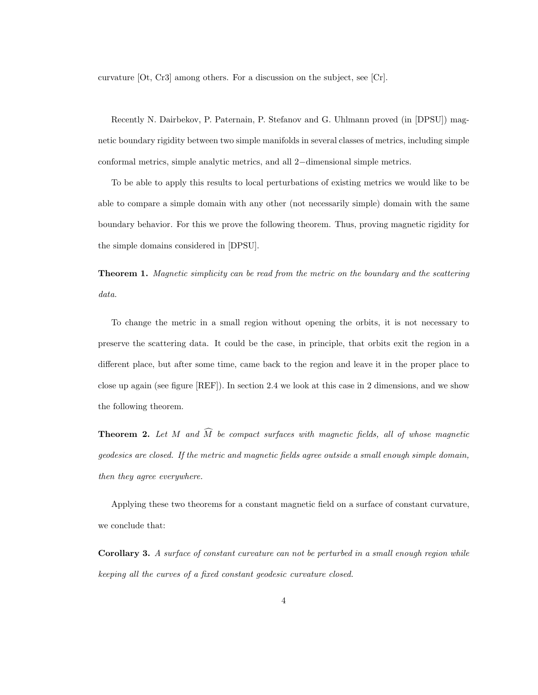curvature [Ot, Cr3] among others. For a discussion on the subject, see [Cr].

Recently N. Dairbekov, P. Paternain, P. Stefanov and G. Uhlmann proved (in [DPSU]) magnetic boundary rigidity between two simple manifolds in several classes of metrics, including simple conformal metrics, simple analytic metrics, and all 2−dimensional simple metrics.

To be able to apply this results to local perturbations of existing metrics we would like to be able to compare a simple domain with any other (not necessarily simple) domain with the same boundary behavior. For this we prove the following theorem. Thus, proving magnetic rigidity for the simple domains considered in [DPSU].

**Theorem 1.** Magnetic simplicity can be read from the metric on the boundary and the scattering data.

To change the metric in a small region without opening the orbits, it is not necessary to preserve the scattering data. It could be the case, in principle, that orbits exit the region in a different place, but after some time, came back to the region and leave it in the proper place to close up again (see figure [REF]). In section 2.4 we look at this case in 2 dimensions, and we show the following theorem.

**Theorem 2.** Let M and  $\widehat{M}$  be compact surfaces with magnetic fields, all of whose magnetic geodesics are closed. If the metric and magnetic fields agree outside a small enough simple domain, then they agree everywhere.

Applying these two theorems for a constant magnetic field on a surface of constant curvature, we conclude that:

Corollary 3. A surface of constant curvature can not be perturbed in a small enough region while keeping all the curves of a fixed constant geodesic curvature closed.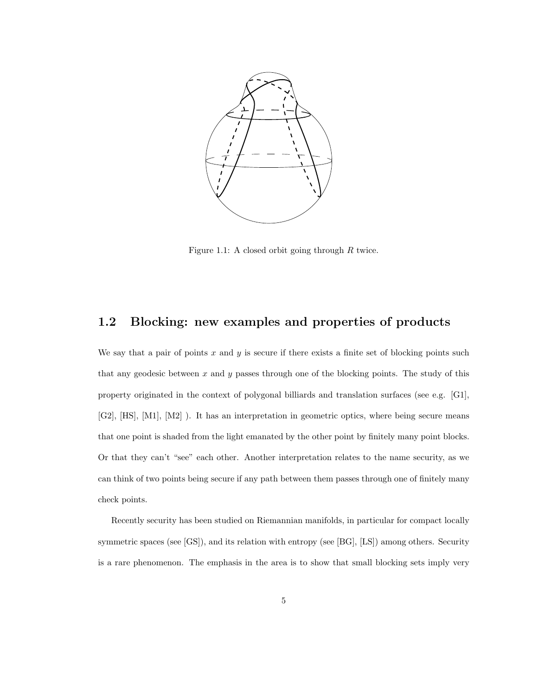

Figure 1.1: A closed orbit going through  $R$  twice.

## 1.2 Blocking: new examples and properties of products

We say that a pair of points  $x$  and  $y$  is secure if there exists a finite set of blocking points such that any geodesic between  $x$  and  $y$  passes through one of the blocking points. The study of this property originated in the context of polygonal billiards and translation surfaces (see e.g. [G1], [G2], [HS], [M1], [M2] ). It has an interpretation in geometric optics, where being secure means that one point is shaded from the light emanated by the other point by finitely many point blocks. Or that they can't "see" each other. Another interpretation relates to the name security, as we can think of two points being secure if any path between them passes through one of finitely many check points.

Recently security has been studied on Riemannian manifolds, in particular for compact locally symmetric spaces (see [GS]), and its relation with entropy (see [BG], [LS]) among others. Security is a rare phenomenon. The emphasis in the area is to show that small blocking sets imply very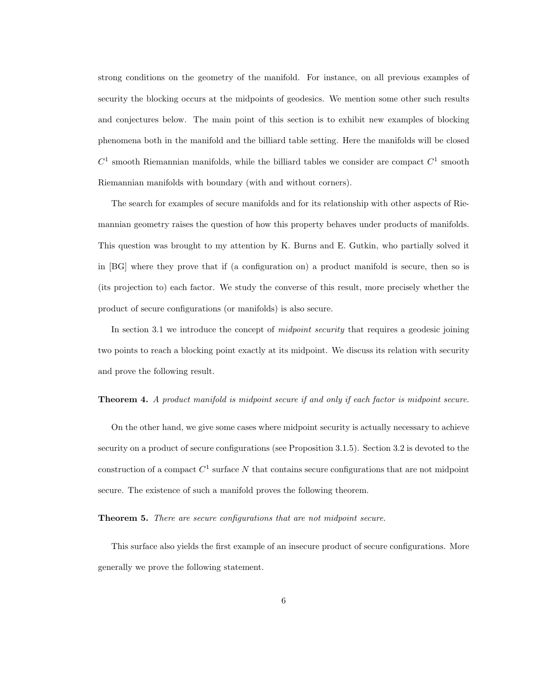strong conditions on the geometry of the manifold. For instance, on all previous examples of security the blocking occurs at the midpoints of geodesics. We mention some other such results and conjectures below. The main point of this section is to exhibit new examples of blocking phenomena both in the manifold and the billiard table setting. Here the manifolds will be closed  $C<sup>1</sup>$  smooth Riemannian manifolds, while the billiard tables we consider are compact  $C<sup>1</sup>$  smooth Riemannian manifolds with boundary (with and without corners).

The search for examples of secure manifolds and for its relationship with other aspects of Riemannian geometry raises the question of how this property behaves under products of manifolds. This question was brought to my attention by K. Burns and E. Gutkin, who partially solved it in [BG] where they prove that if (a configuration on) a product manifold is secure, then so is (its projection to) each factor. We study the converse of this result, more precisely whether the product of secure configurations (or manifolds) is also secure.

In section 3.1 we introduce the concept of *midpoint security* that requires a geodesic joining two points to reach a blocking point exactly at its midpoint. We discuss its relation with security and prove the following result.

#### **Theorem 4.** A product manifold is midpoint secure if and only if each factor is midpoint secure.

On the other hand, we give some cases where midpoint security is actually necessary to achieve security on a product of secure configurations (see Proposition 3.1.5). Section 3.2 is devoted to the construction of a compact  $C^1$  surface N that contains secure configurations that are not midpoint secure. The existence of such a manifold proves the following theorem.

#### Theorem 5. There are secure configurations that are not midpoint secure.

This surface also yields the first example of an insecure product of secure configurations. More generally we prove the following statement.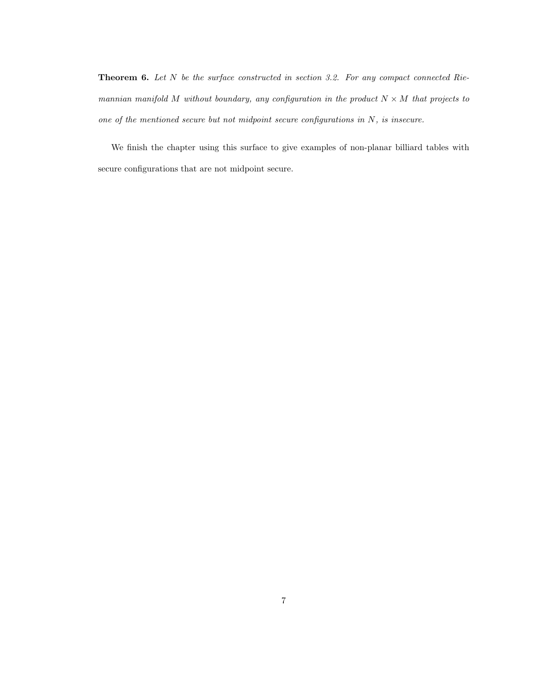**Theorem 6.** Let N be the surface constructed in section 3.2. For any compact connected Riemannian manifold M without boundary, any configuration in the product  $N \times M$  that projects to one of the mentioned secure but not midpoint secure configurations in N, is insecure.

We finish the chapter using this surface to give examples of non-planar billiard tables with secure configurations that are not midpoint secure.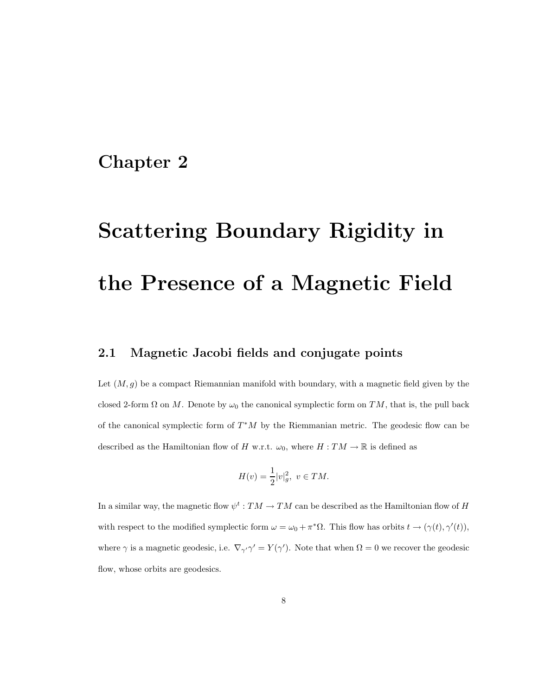## Chapter 2

# Scattering Boundary Rigidity in the Presence of a Magnetic Field

## 2.1 Magnetic Jacobi fields and conjugate points

Let  $(M, g)$  be a compact Riemannian manifold with boundary, with a magnetic field given by the closed 2-form  $\Omega$  on M. Denote by  $\omega_0$  the canonical symplectic form on TM, that is, the pull back of the canonical symplectic form of  $T^*M$  by the Riemmanian metric. The geodesic flow can be described as the Hamiltonian flow of H w.r.t.  $\omega_0$ , where  $H : TM \to \mathbb{R}$  is defined as

$$
H(v)=\frac{1}{2}|v|_g^2,~v\in TM.
$$

In a similar way, the magnetic flow  $\psi^t: TM \to TM$  can be described as the Hamiltonian flow of H with respect to the modified symplectic form  $\omega = \omega_0 + \pi^* \Omega$ . This flow has orbits  $t \to (\gamma(t), \gamma'(t)),$ where  $\gamma$  is a magnetic geodesic, i.e.  $\nabla_{\gamma'}\gamma' = Y(\gamma')$ . Note that when  $\Omega = 0$  we recover the geodesic flow, whose orbits are geodesics.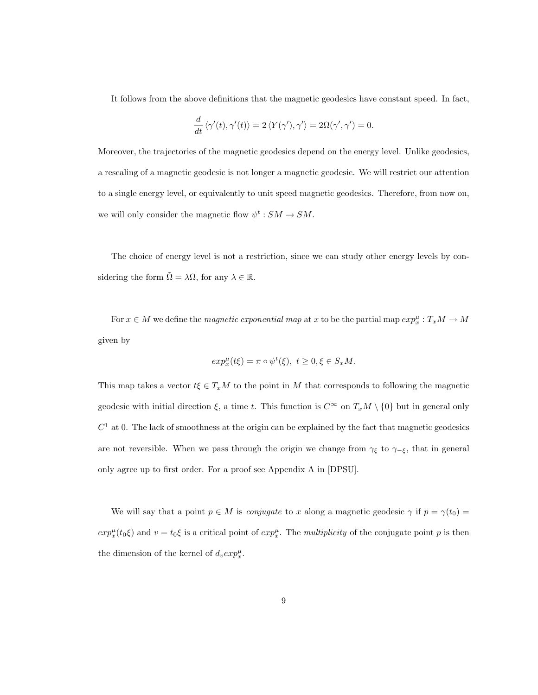It follows from the above definitions that the magnetic geodesics have constant speed. In fact,

$$
\frac{d}{dt} \left\langle \gamma'(t), \gamma'(t) \right\rangle = 2 \left\langle Y(\gamma'), \gamma' \right\rangle = 2 \Omega(\gamma', \gamma') = 0.
$$

Moreover, the trajectories of the magnetic geodesics depend on the energy level. Unlike geodesics, a rescaling of a magnetic geodesic is not longer a magnetic geodesic. We will restrict our attention to a single energy level, or equivalently to unit speed magnetic geodesics. Therefore, from now on, we will only consider the magnetic flow  $\psi^t: SM \to SM$ .

The choice of energy level is not a restriction, since we can study other energy levels by considering the form  $\tilde{\Omega} = \lambda \Omega$ , for any  $\lambda \in \mathbb{R}$ .

For  $x \in M$  we define the *magnetic exponential map* at x to be the partial map  $exp_x^{\mu}: T_xM \to M$ given by

$$
exp_x^{\mu}(t\xi) = \pi \circ \psi^t(\xi), \ t \ge 0, \xi \in S_xM.
$$

This map takes a vector  $t\xi \in T_xM$  to the point in M that corresponds to following the magnetic geodesic with initial direction  $\xi$ , a time t. This function is  $C^{\infty}$  on  $T_xM \setminus \{0\}$  but in general only  $C<sup>1</sup>$  at 0. The lack of smoothness at the origin can be explained by the fact that magnetic geodesics are not reversible. When we pass through the origin we change from  $\gamma_{\xi}$  to  $\gamma_{-\xi}$ , that in general only agree up to first order. For a proof see Appendix A in [DPSU].

We will say that a point  $p \in M$  is *conjugate* to x along a magnetic geodesic  $\gamma$  if  $p = \gamma(t_0)$  $exp_x^{\mu}(t_0\xi)$  and  $v = t_0\xi$  is a critical point of  $exp_x^{\mu}$ . The multiplicity of the conjugate point p is then the dimension of the kernel of  $d_v exp_x^{\mu}$ .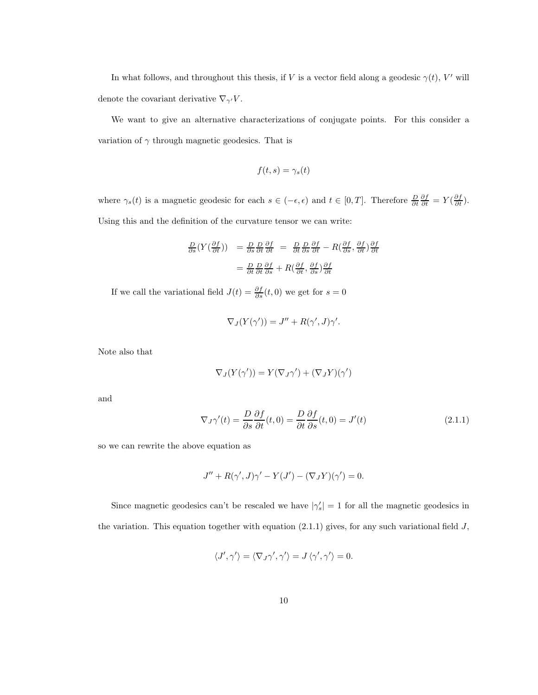In what follows, and throughout this thesis, if V is a vector field along a geodesic  $\gamma(t)$ , V' will denote the covariant derivative  $\nabla_{\gamma'} V$ .

We want to give an alternative characterizations of conjugate points. For this consider a variation of  $\gamma$  through magnetic geodesics. That is

$$
f(t,s) = \gamma_s(t)
$$

where  $\gamma_s(t)$  is a magnetic geodesic for each  $s \in (-\epsilon, \epsilon)$  and  $t \in [0, T]$ . Therefore  $\frac{D}{\partial t} \frac{\partial f}{\partial t} = Y(\frac{\partial f}{\partial t})$ . Using this and the definition of the curvature tensor we can write:

$$
\frac{D}{\partial s}(Y(\frac{\partial f}{\partial t})) = \frac{D}{\partial s}\frac{D}{\partial t}\frac{\partial f}{\partial t} = \frac{D}{\partial t}\frac{D}{\partial s}\frac{\partial f}{\partial t} - R(\frac{\partial f}{\partial s}, \frac{\partial f}{\partial t})\frac{\partial f}{\partial t}
$$

$$
= \frac{D}{\partial t}\frac{D}{\partial t}\frac{\partial f}{\partial s} + R(\frac{\partial f}{\partial t}, \frac{\partial f}{\partial s})\frac{\partial f}{\partial t}
$$

If we call the variational field  $J(t) = \frac{\partial f}{\partial s}(t,0)$  we get for  $s = 0$ 

$$
\nabla_J(Y(\gamma')) = J'' + R(\gamma', J)\gamma'.
$$

Note also that

$$
\nabla_J(Y(\gamma')) = Y(\nabla_J \gamma') + (\nabla_J Y)(\gamma')
$$

and

$$
\nabla_J \gamma'(t) = \frac{D}{\partial s} \frac{\partial f}{\partial t}(t, 0) = \frac{D}{\partial t} \frac{\partial f}{\partial s}(t, 0) = J'(t)
$$
\n(2.1.1)

so we can rewrite the above equation as

$$
J'' + R(\gamma', J)\gamma' - Y(J') - (\nabla_J Y)(\gamma') = 0.
$$

Since magnetic geodesics can't be rescaled we have  $|\gamma_s'| = 1$  for all the magnetic geodesics in the variation. This equation together with equation  $(2.1.1)$  gives, for any such variational field  $J$ ,

$$
\langle J',\gamma'\rangle=\langle \nabla_J\gamma',\gamma'\rangle=J\,\langle \gamma',\gamma'\rangle=0.
$$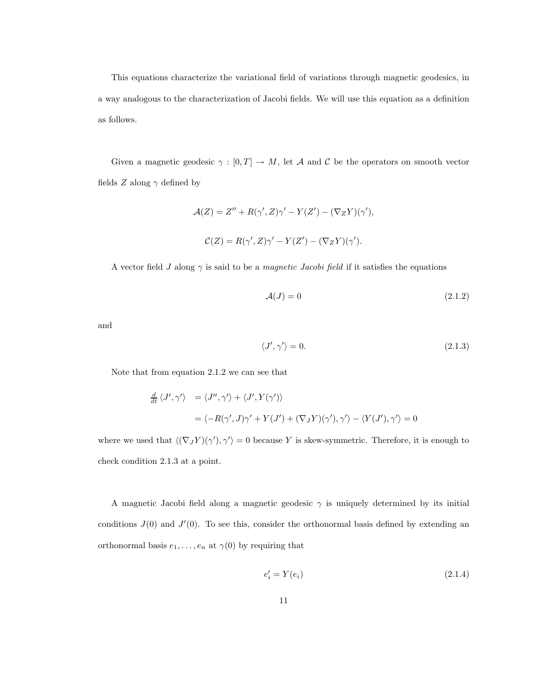This equations characterize the variational field of variations through magnetic geodesics, in a way analogous to the characterization of Jacobi fields. We will use this equation as a definition as follows.

Given a magnetic geodesic  $\gamma : [0, T] \to M$ , let A and C be the operators on smooth vector fields Z along  $\gamma$  defined by

$$
\mathcal{A}(Z) = Z'' + R(\gamma', Z)\gamma' - Y(Z') - (\nabla_Z Y)(\gamma'),
$$
  

$$
\mathcal{C}(Z) = R(\gamma', Z)\gamma' - Y(Z') - (\nabla_Z Y)(\gamma').
$$

A vector field J along  $\gamma$  is said to be a *magnetic Jacobi field* if it satisfies the equations

$$
\mathcal{A}(J) = 0 \tag{2.1.2}
$$

and

$$
\langle J', \gamma' \rangle = 0. \tag{2.1.3}
$$

Note that from equation 2.1.2 we can see that

$$
\frac{d}{dt} \langle J', \gamma' \rangle = \langle J'', \gamma' \rangle + \langle J', Y(\gamma') \rangle
$$
  
=  $\langle -R(\gamma', J)\gamma' + Y(J') + (\nabla_J Y)(\gamma'), \gamma' \rangle - \langle Y(J'), \gamma' \rangle = 0$ 

where we used that  $\langle (\nabla_J Y)(\gamma'), \gamma' \rangle = 0$  because Y is skew-symmetric. Therefore, it is enough to check condition 2.1.3 at a point.

A magnetic Jacobi field along a magnetic geodesic  $\gamma$  is uniquely determined by its initial conditions  $J(0)$  and  $J'(0)$ . To see this, consider the orthonormal basis defined by extending an orthonormal basis  $e_1, \ldots, e_n$  at  $\gamma(0)$  by requiring that

$$
e_i' = Y(e_i) \tag{2.1.4}
$$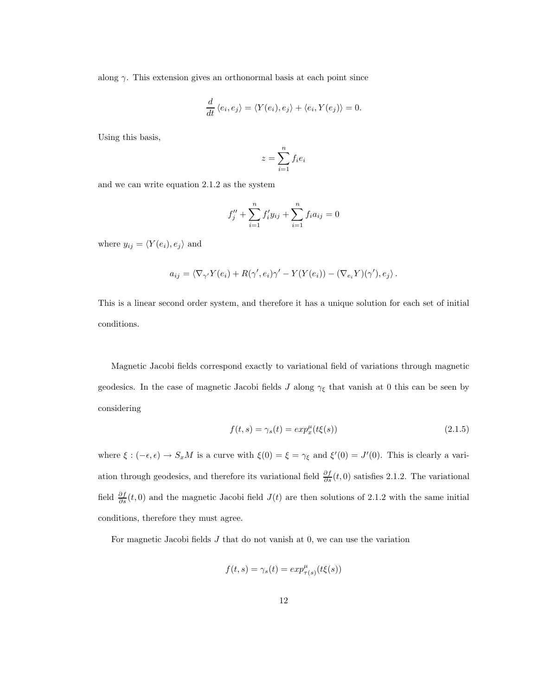along  $\gamma$ . This extension gives an orthonormal basis at each point since

$$
\frac{d}{dt}\langle e_i, e_j \rangle = \langle Y(e_i), e_j \rangle + \langle e_i, Y(e_j) \rangle = 0.
$$

Using this basis,

$$
z = \sum_{i=1}^{n} f_i e_i
$$

and we can write equation 2.1.2 as the system

$$
f''_j + \sum_{i=1}^n f'_i y_{ij} + \sum_{i=1}^n f_i a_{ij} = 0
$$

where  $y_{ij} = \langle Y(e_i), e_j \rangle$  and

$$
a_{ij} = \langle \nabla_{\gamma'} Y(e_i) + R(\gamma', e_i) \gamma' - Y(Y(e_i)) - (\nabla_{e_i} Y)(\gamma'), e_j \rangle.
$$

This is a linear second order system, and therefore it has a unique solution for each set of initial conditions.

Magnetic Jacobi fields correspond exactly to variational field of variations through magnetic geodesics. In the case of magnetic Jacobi fields  $J$  along  $\gamma_{\xi}$  that vanish at 0 this can be seen by considering

$$
f(t,s) = \gamma_s(t) = exp_x^{\mu}(t\xi(s))
$$
\n(2.1.5)

where  $\xi : (-\epsilon, \epsilon) \to S_x M$  is a curve with  $\xi(0) = \xi = \gamma_{\xi}$  and  $\xi'(0) = J'(0)$ . This is clearly a variation through geodesics, and therefore its variational field  $\frac{\partial f}{\partial s}(t,0)$  satisfies 2.1.2. The variational field  $\frac{\partial f}{\partial s}(t,0)$  and the magnetic Jacobi field  $J(t)$  are then solutions of 2.1.2 with the same initial conditions, therefore they must agree.

For magnetic Jacobi fields  $J$  that do not vanish at 0, we can use the variation

$$
f(t,s) = \gamma_s(t) = exp^{\mu}_{\tau(s)}(t\xi(s))
$$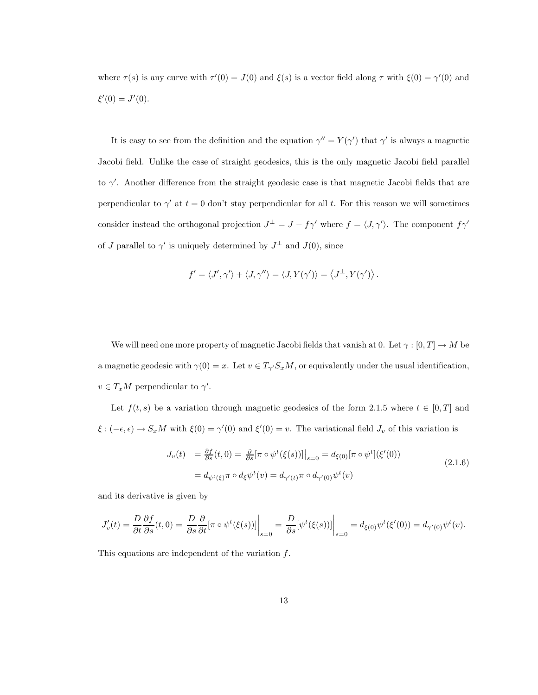where  $\tau(s)$  is any curve with  $\tau'(0) = J(0)$  and  $\xi(s)$  is a vector field along  $\tau$  with  $\xi(0) = \gamma'(0)$  and  $\xi'(0) = J'(0).$ 

It is easy to see from the definition and the equation  $\gamma'' = Y(\gamma')$  that  $\gamma'$  is always a magnetic Jacobi field. Unlike the case of straight geodesics, this is the only magnetic Jacobi field parallel to  $\gamma'$ . Another difference from the straight geodesic case is that magnetic Jacobi fields that are perpendicular to  $\gamma'$  at  $t = 0$  don't stay perpendicular for all t. For this reason we will sometimes consider instead the orthogonal projection  $J^{\perp} = J - f\gamma'$  where  $f = \langle J, \gamma' \rangle$ . The component  $f\gamma'$ of J parallel to  $\gamma'$  is uniquely determined by  $J^{\perp}$  and  $J(0)$ , since

$$
f'=\left\langle J',\gamma'\right\rangle+\left\langle J,\gamma''\right\rangle=\left\langle J,Y(\gamma')\right\rangle=\left\langle J^\perp,Y(\gamma')\right\rangle.
$$

We will need one more property of magnetic Jacobi fields that vanish at 0. Let  $\gamma:[0,T]\rightarrow M$  be a magnetic geodesic with  $\gamma(0) = x$ . Let  $v \in T_{\gamma'} S_x M$ , or equivalently under the usual identification,  $v \in T_xM$  perpendicular to  $\gamma'$ .

Let  $f(t, s)$  be a variation through magnetic geodesics of the form 2.1.5 where  $t \in [0, T]$  and  $\xi : (-\epsilon, \epsilon) \to S_x M$  with  $\xi(0) = \gamma'(0)$  and  $\xi'(0) = v$ . The variational field  $J_v$  of this variation is

$$
J_v(t) = \frac{\partial f}{\partial s}(t,0) = \frac{\partial}{\partial s} [\pi \circ \psi^t(\xi(s))] \Big|_{s=0} = d_{\xi(0)} [\pi \circ \psi^t](\xi'(0))
$$
  
=  $d_{\psi^t(\xi)} \pi \circ d_{\xi} \psi^t(v) = d_{\gamma'(t)} \pi \circ d_{\gamma'(0)} \psi^t(v)$  (2.1.6)

and its derivative is given by

$$
J'_v(t) = \frac{D}{\partial t} \frac{\partial f}{\partial s}(t,0) = \frac{D}{\partial s} \frac{\partial}{\partial t} [\pi \circ \psi^t(\xi(s))] \bigg|_{s=0} = \frac{D}{\partial s} [\psi^t(\xi(s))] \bigg|_{s=0} = d_{\xi(0)} \psi^t(\xi'(0)) = d_{\gamma'(0)} \psi^t(v).
$$

This equations are independent of the variation  $f$ .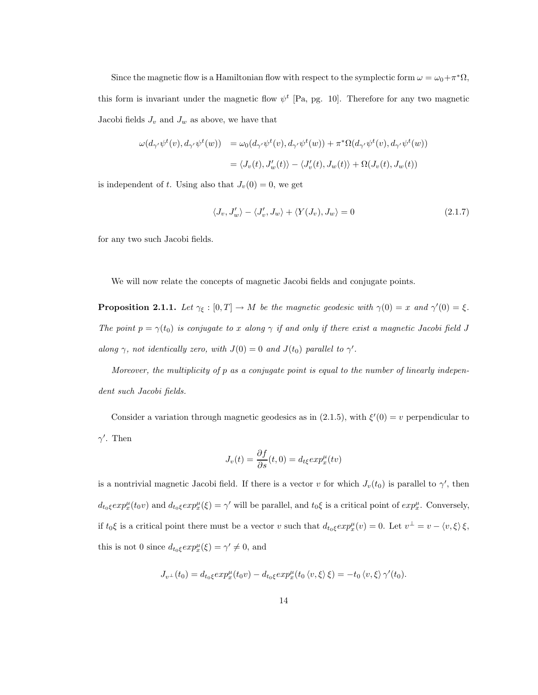Since the magnetic flow is a Hamiltonian flow with respect to the symplectic form  $\omega = \omega_0 + \pi^* \Omega$ , this form is invariant under the magnetic flow  $\psi^t$  [Pa, pg. 10]. Therefore for any two magnetic Jacobi fields  $J_v$  and  $J_w$  as above, we have that

$$
\begin{aligned} \omega(d_{\gamma'}\psi^t(v), d_{\gamma'}\psi^t(w)) &= \omega_0(d_{\gamma'}\psi^t(v), d_{\gamma'}\psi^t(w)) + \pi^*\Omega(d_{\gamma'}\psi^t(v), d_{\gamma'}\psi^t(w)) \\ &= \langle J_v(t), J'_w(t) \rangle - \langle J'_v(t), J_w(t) \rangle + \Omega(J_v(t), J_w(t)) \end{aligned}
$$

is independent of t. Using also that  $J_v(0) = 0$ , we get

$$
\langle J_v, J'_w \rangle - \langle J'_v, J_w \rangle + \langle Y(J_v), J_w \rangle = 0 \tag{2.1.7}
$$

for any two such Jacobi fields.

We will now relate the concepts of magnetic Jacobi fields and conjugate points.

**Proposition 2.1.1.** Let  $\gamma_{\xi} : [0, T] \to M$  be the magnetic geodesic with  $\gamma(0) = x$  and  $\gamma'(0) = \xi$ . The point  $p = \gamma(t_0)$  is conjugate to x along  $\gamma$  if and only if there exist a magnetic Jacobi field J along  $\gamma$ , not identically zero, with  $J(0) = 0$  and  $J(t_0)$  parallel to  $\gamma'$ .

Moreover, the multiplicity of p as a conjugate point is equal to the number of linearly independent such Jacobi fields.

Consider a variation through magnetic geodesics as in (2.1.5), with  $\xi'(0) = v$  perpendicular to  $\gamma'$ . Then

$$
J_{\nu}(t) = \frac{\partial f}{\partial s}(t,0) = d_{t\xi} exp_x^{\mu}(tv)
$$

is a nontrivial magnetic Jacobi field. If there is a vector v for which  $J_v(t_0)$  is parallel to  $\gamma'$ , then  $d_{t_0\xi} exp_x^{\mu}(t_0 v)$  and  $d_{t_0\xi} exp_x^{\mu}(\xi) = \gamma'$  will be parallel, and  $t_0\xi$  is a critical point of  $exp_x^{\mu}$ . Conversely, if  $t_0\xi$  is a critical point there must be a vector v such that  $d_{t_0\xi}exp_x^{\mu}(v) = 0$ . Let  $v^{\perp} = v - \langle v, \xi \rangle \xi$ , this is not 0 since  $d_{t_0\xi} exp_x^{\mu}(\xi) = \gamma' \neq 0$ , and

$$
J_{v^{\perp}}(t_0) = d_{t_0\xi} exp_x^{\mu}(t_0 v) - d_{t_0\xi} exp_x^{\mu}(t_0 \langle v, \xi \rangle \xi) = -t_0 \langle v, \xi \rangle \gamma'(t_0).
$$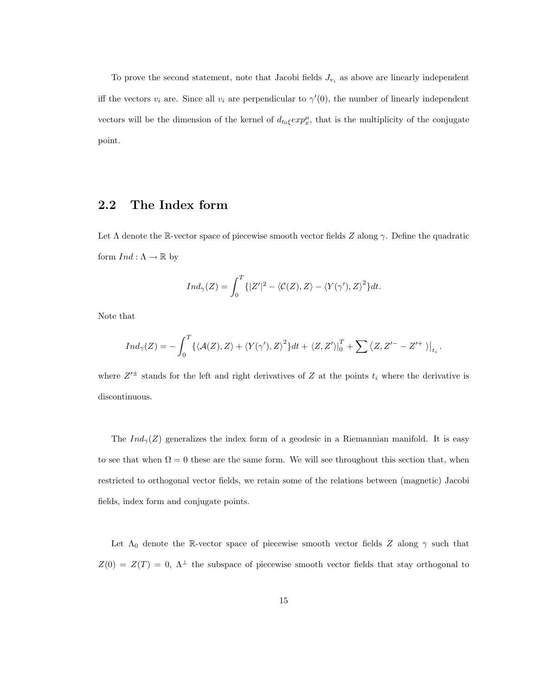To prove the second statement, note that Jacobi fields  $J_{v_i}$  as above are linearly independent iff the vectors  $v_i$  are. Since all  $v_i$  are perpendicular to  $\gamma'(0)$ , the number of linearly independent vectors will be the dimension of the kernel of  $d_{t_0\xi} exp_x^{\mu}$ , that is the multiplicity of the conjugate point.

## 2.2 The Index form

Let  $\Lambda$  denote the R-vector space of piecewise smooth vector fields Z along  $\gamma$ . Define the quadratic form  $Ind: \Lambda \to \mathbb{R}$  by

$$
Ind_{\gamma}(Z) = \int_0^T \{|Z'|^2 - \langle \mathcal{C}(Z), Z \rangle - \langle Y(\gamma'), Z \rangle^2\} dt.
$$

Note that

$$
Ind_{\gamma}(Z) = -\int_0^T \{ \langle \mathcal{A}(Z), Z \rangle + \langle Y(\gamma'), Z \rangle^2 \} dt + \langle Z, Z' \rangle \big|_0^T + \sum \langle Z, Z'^{-} - Z'^{+} \rangle \big|_{t_i}.
$$

where  $Z'^{\pm}$  stands for the left and right derivatives of Z at the points  $t_i$  where the derivative is discontinuous.

The  $Ind_{\gamma}(Z)$  generalizes the index form of a geodesic in a Riemannian manifold. It is easy to see that when  $\Omega = 0$  these are the same form. We will see throughout this section that, when restricted to orthogonal vector fields, we retain some of the relations between (magnetic) Jacobi fields, index form and conjugate points.

Let  $\Lambda_0$  denote the R-vector space of piecewise smooth vector fields Z along  $\gamma$  such that  $Z(0) = Z(T) = 0, \ \Lambda^{\perp}$  the subspace of piecewise smooth vector fields that stay orthogonal to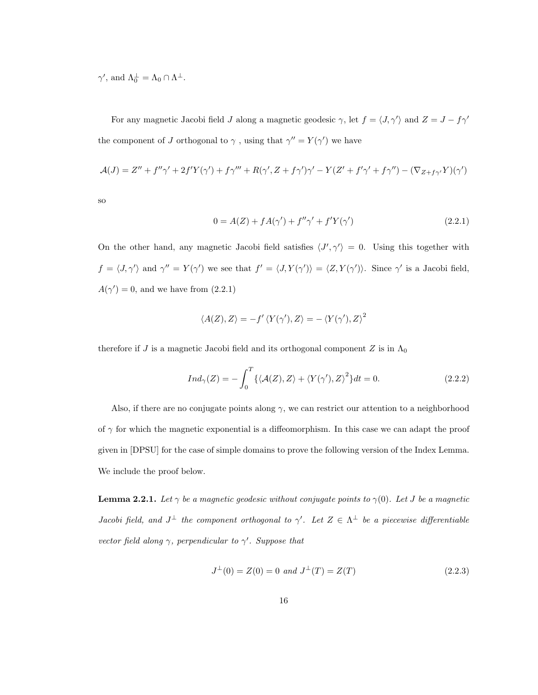$\gamma'$ , and  $\Lambda_0^{\perp} = \Lambda_0 \cap \Lambda^{\perp}$ .

For any magnetic Jacobi field  $J$  along a magnetic geodesic  $\gamma$ , let  $f = \langle J, \gamma' \rangle$  and  $Z = J - f\gamma'$ the component of J orthogonal to  $\gamma$ , using that  $\gamma'' = Y(\gamma')$  we have

$$
\mathcal{A}(J) = Z'' + f''\gamma' + 2f'Y(\gamma') + f\gamma''' + R(\gamma', Z + f\gamma')\gamma' - Y(Z' + f'\gamma' + f\gamma'') - (\nabla_{Z + f\gamma'}Y)(\gamma')
$$

so

$$
0 = A(Z) + fA(\gamma') + f''\gamma' + f'Y(\gamma')
$$
\n(2.2.1)

On the other hand, any magnetic Jacobi field satisfies  $\langle J', \gamma' \rangle = 0$ . Using this together with  $f = \langle J, \gamma' \rangle$  and  $\gamma'' = Y(\gamma')$  we see that  $f' = \langle J, Y(\gamma') \rangle = \langle Z, Y(\gamma') \rangle$ . Since  $\gamma'$  is a Jacobi field,  $A(\gamma') = 0$ , and we have from  $(2.2.1)$ 

$$
\langle A(Z), Z \rangle = -f' \langle Y(\gamma'), Z \rangle = -\langle Y(\gamma'), Z \rangle^2
$$

therefore if J is a magnetic Jacobi field and its orthogonal component  $Z$  is in  $\Lambda_0$ 

$$
Ind_{\gamma}(Z) = -\int_0^T \{ \langle \mathcal{A}(Z), Z \rangle + \langle Y(\gamma'), Z \rangle^2 \} dt = 0.
$$
 (2.2.2)

Also, if there are no conjugate points along  $\gamma$ , we can restrict our attention to a neighborhood of  $\gamma$  for which the magnetic exponential is a diffeomorphism. In this case we can adapt the proof given in [DPSU] for the case of simple domains to prove the following version of the Index Lemma. We include the proof below.

**Lemma 2.2.1.** Let  $\gamma$  be a magnetic geodesic without conjugate points to  $\gamma(0)$ . Let J be a magnetic *Jacobi field, and*  $J^{\perp}$  the component orthogonal to  $\gamma'$ . Let  $Z \in \Lambda^{\perp}$  be a piecewise differentiable vector field along  $\gamma$ , perpendicular to  $\gamma'$ . Suppose that

$$
J^{\perp}(0) = Z(0) = 0 \text{ and } J^{\perp}(T) = Z(T) \tag{2.2.3}
$$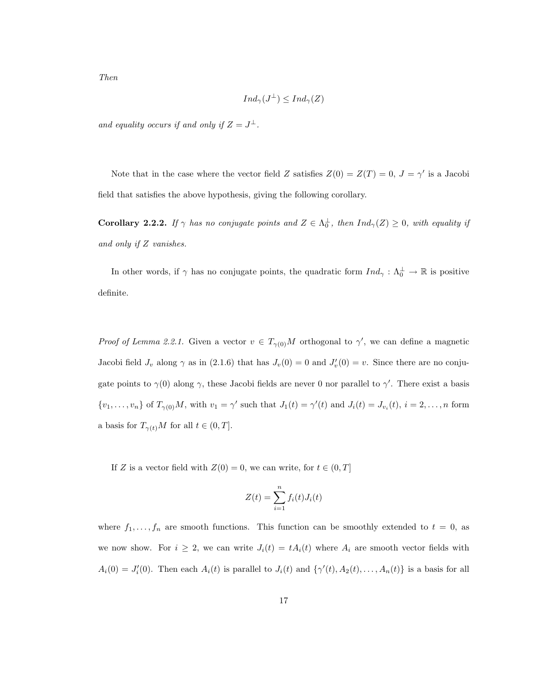$$
Ind_{\gamma}(J^{\perp}) \leq Ind_{\gamma}(Z)
$$

and equality occurs if and only if  $Z = J^{\perp}$ .

Note that in the case where the vector field Z satisfies  $Z(0) = Z(T) = 0, J = \gamma'$  is a Jacobi field that satisfies the above hypothesis, giving the following corollary.

**Corollary 2.2.2.** If  $\gamma$  has no conjugate points and  $Z \in \Lambda_0^{\perp}$ , then  $Ind_{\gamma}(Z) \geq 0$ , with equality if and only if Z vanishes.

In other words, if  $\gamma$  has no conjugate points, the quadratic form  $Ind_{\gamma}: \Lambda_0^{\perp} \to \mathbb{R}$  is positive definite.

*Proof of Lemma 2.2.1.* Given a vector  $v \in T_{\gamma(0)}M$  orthogonal to  $\gamma'$ , we can define a magnetic Jacobi field  $J_v$  along  $\gamma$  as in (2.1.6) that has  $J_v(0) = 0$  and  $J'_v(0) = v$ . Since there are no conjugate points to  $\gamma(0)$  along  $\gamma$ , these Jacobi fields are never 0 nor parallel to  $\gamma'$ . There exist a basis  $\{v_1,\ldots,v_n\}$  of  $T_{\gamma(0)}M$ , with  $v_1=\gamma'$  such that  $J_1(t)=\gamma'(t)$  and  $J_i(t)=J_{v_i}(t)$ ,  $i=2,\ldots,n$  form a basis for  $T_{\gamma(t)}M$  for all  $t \in (0, T]$ .

If Z is a vector field with  $Z(0) = 0$ , we can write, for  $t \in (0, T]$ 

$$
Z(t) = \sum_{i=1}^{n} f_i(t) J_i(t)
$$

where  $f_1, \ldots, f_n$  are smooth functions. This function can be smoothly extended to  $t = 0$ , as we now show. For  $i \geq 2$ , we can write  $J_i(t) = tA_i(t)$  where  $A_i$  are smooth vector fields with  $A_i(0) = J'_i(0)$ . Then each  $A_i(t)$  is parallel to  $J_i(t)$  and  $\{\gamma'(t), A_2(t), \ldots, A_n(t)\}\$ is a basis for all

Then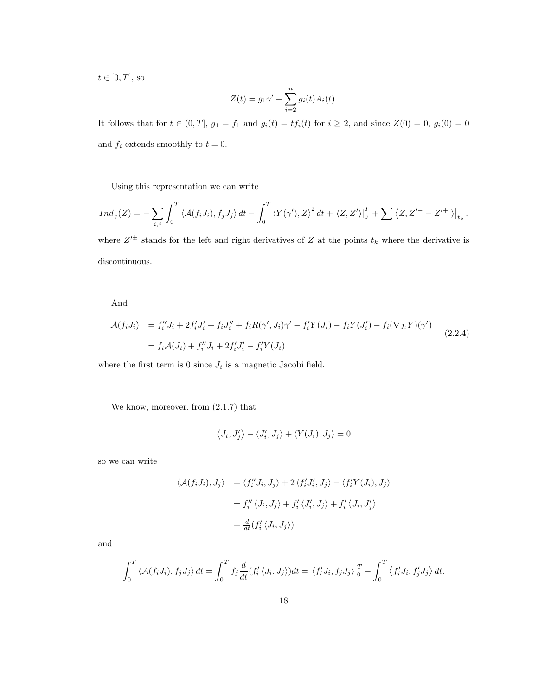$t \in [0, T]$ , so

$$
Z(t) = g_1 \gamma' + \sum_{i=2}^n g_i(t) A_i(t).
$$

It follows that for  $t \in (0,T]$ ,  $g_1 = f_1$  and  $g_i(t) = tf_i(t)$  for  $i \ge 2$ , and since  $Z(0) = 0$ ,  $g_i(0) = 0$ and  $f_i$  extends smoothly to  $t = 0$ .

Using this representation we can write

$$
Ind_{\gamma}(Z) = -\sum_{i,j} \int_0^T \left\langle \mathcal{A}(f_i J_i), f_j J_j \right\rangle dt - \int_0^T \left\langle Y(\gamma'), Z \right\rangle^2 dt + \left\langle Z, Z' \right\rangle \Big|_0^T + \sum \left\langle Z, Z'^{-} - Z'^{+} \right\rangle \Big|_{t_k}.
$$

where  $Z'^{\pm}$  stands for the left and right derivatives of Z at the points  $t_k$  where the derivative is discontinuous.

#### And

$$
\mathcal{A}(f_i J_i) = f_i'' J_i + 2f_i' J_i' + f_i J_i'' + f_i R(\gamma', J_i) \gamma' - f_i' Y(J_i) - f_i Y(J_i') - f_i (\nabla_{J_i} Y)(\gamma')
$$
\n
$$
= f_i \mathcal{A}(J_i) + f_i'' J_i + 2f_i' J_i' - f_i' Y(J_i)
$$
\n(2.2.4)

where the first term is 0 since  $J_i$  is a magnetic Jacobi field.

We know, moreover, from (2.1.7) that

$$
\left\langle J_{i},J_{j}'\right\rangle -\left\langle J_{i}',J_{j}\right\rangle +\left\langle Y(J_{i}),J_{j}\right\rangle =0
$$

so we can write

$$
\langle \mathcal{A}(f_i J_i), J_j \rangle = \langle f_i'' J_i, J_j \rangle + 2 \langle f_i' J_i', J_j \rangle - \langle f_i' Y(J_i), J_j \rangle
$$
  

$$
= f_i'' \langle J_i, J_j \rangle + f_i' \langle J_i', J_j \rangle + f_i' \langle J_i, J_j' \rangle
$$
  

$$
= \frac{d}{dt} (f_i' \langle J_i, J_j \rangle)
$$

and

$$
\int_0^T \langle \mathcal{A}(f_i J_i), f_j J_j \rangle dt = \int_0^T f_j \frac{d}{dt} (f'_i \langle J_i, J_j \rangle) dt = \langle f'_i J_i, f_j J_j \rangle \Big|_0^T - \int_0^T \langle f'_i J_i, f'_j J_j \rangle dt.
$$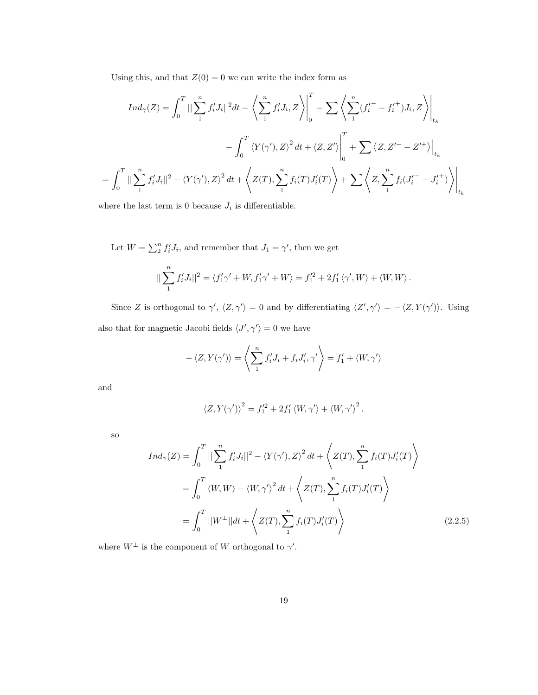Using this, and that  $Z(0) = 0$  we can write the index form as

$$
Ind_{\gamma}(Z) = \int_{0}^{T} || \sum_{1}^{n} f'_{i} J_{i} ||^{2} dt - \left\langle \sum_{1}^{n} f'_{i} J_{i}, Z \right\rangle \Big|_{0}^{T} - \sum \left\langle \sum_{1}^{n} (f'_{i} - f'_{i}^{+}) J_{i}, Z \right\rangle \Big|_{t_{k}}
$$

$$
- \int_{0}^{T} \left\langle Y(\gamma'), Z \right\rangle^{2} dt + \left\langle Z, Z' \right\rangle \Big|_{0}^{T} + \sum \left\langle Z, Z'^{-} - Z'^{+} \right\rangle \Big|_{t_{k}}
$$

$$
= \int_{0}^{T} || \sum_{1}^{n} f'_{i} J_{i} ||^{2} - \left\langle Y(\gamma'), Z \right\rangle^{2} dt + \left\langle Z(T), \sum_{1}^{n} f_{i}(T) J'_{i}(T) \right\rangle + \sum \left\langle Z, \sum_{1}^{n} f_{i}(J'^{-}_{i} - J'^{+}_{i}) \right\rangle \Big|_{t_{k}}
$$

where the last term is 0 because  $J_i$  is differentiable.

Let  $W = \sum_{i=1}^{n} f'_i J_i$ , and remember that  $J_1 = \gamma'$ , then we get  $||\sum_1^n$  $f'_i J_i ||^2 = \langle f'_1 \gamma' + W, f'_1 \gamma' + W \rangle = f_1^{\prime 2} + 2f'_1$  $'_{1}\langle \gamma',W\rangle +\langle W,W\rangle$ .

Since Z is orthogonal to  $\gamma'$ ,  $\langle Z, \gamma' \rangle = 0$  and by differentiating  $\langle Z', \gamma' \rangle = -\langle Z, Y(\gamma') \rangle$ . Using also that for magnetic Jacobi fields  $\langle J',\gamma'\rangle=0$  we have

$$
-\langle Z, Y(\gamma')\rangle = \left\langle \sum_{1}^{n} f'_{i} J_{i} + f_{i} J'_{i}, \gamma' \right\rangle = f'_{1} + \langle W, \gamma'\rangle
$$

and

$$
\left\langle Z, Y(\gamma') \right\rangle^2 = f_1'^2 + 2f_1' \left\langle W, \gamma' \right\rangle + \left\langle W, \gamma' \right\rangle^2.
$$

so

$$
Ind_{\gamma}(Z) = \int_0^T ||\sum_1^n f'_i J_i||^2 - \langle Y(\gamma'), Z \rangle^2 dt + \langle Z(T), \sum_1^n f_i(T) J'_i(T) \rangle
$$
  
= 
$$
\int_0^T \langle W, W \rangle - \langle W, \gamma' \rangle^2 dt + \langle Z(T), \sum_1^n f_i(T) J'_i(T) \rangle
$$
  
= 
$$
\int_0^T ||W^{\perp}|| dt + \langle Z(T), \sum_1^n f_i(T) J'_i(T) \rangle
$$
 (2.2.5)

where  $W^{\perp}$  is the component of W orthogonal to  $\gamma'$ .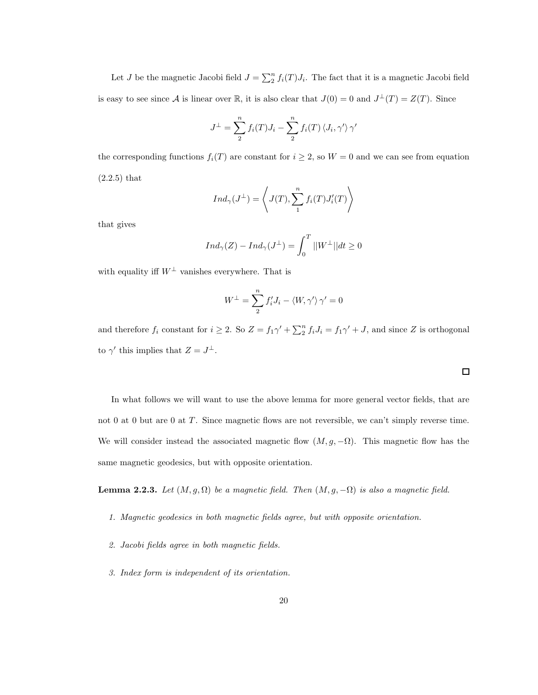Let J be the magnetic Jacobi field  $J = \sum_{i=1}^{n} f_i(T)J_i$ . The fact that it is a magnetic Jacobi field is easy to see since A is linear over  $\mathbb R$ , it is also clear that  $J(0) = 0$  and  $J^{\perp}(T) = Z(T)$ . Since

$$
J^{\perp} = \sum_{1}^{n} f_i(T)J_i - \sum_{1}^{n} f_i(T) \langle J_i, \gamma' \rangle \gamma'
$$

the corresponding functions  $f_i(T)$  are constant for  $i \geq 2$ , so  $W = 0$  and we can see from equation (2.2.5) that

$$
Ind_{\gamma}(J^{\perp}) = \left\langle J(T), \sum_{1}^{n} f_i(T)J_i'(T) \right\rangle
$$

that gives

$$
Ind_{\gamma}(Z) - Ind_{\gamma}(J^{\perp}) = \int_{0}^{T} ||W^{\perp}|| dt \ge 0
$$

with equality iff  $W^{\perp}$  vanishes everywhere. That is

$$
W^{\perp} = \sum_{i=1}^{n} f'_{i} J_{i} - \langle W, \gamma' \rangle \gamma' = 0
$$

and therefore  $f_i$  constant for  $i \geq 2$ . So  $Z = f_1 \gamma' + \sum_2^n f_i J_i = f_1 \gamma' + J$ , and since Z is orthogonal to  $\gamma'$  this implies that  $Z = J^{\perp}$ .

 $\Box$ 

In what follows we will want to use the above lemma for more general vector fields, that are not 0 at 0 but are 0 at T. Since magnetic flows are not reversible, we can't simply reverse time. We will consider instead the associated magnetic flow  $(M, g, -\Omega)$ . This magnetic flow has the same magnetic geodesics, but with opposite orientation.

**Lemma 2.2.3.** Let  $(M, g, \Omega)$  be a magnetic field. Then  $(M, g, -\Omega)$  is also a magnetic field.

- 1. Magnetic geodesics in both magnetic fields agree, but with opposite orientation.
- 2. Jacobi fields agree in both magnetic fields.
- 3. Index form is independent of its orientation.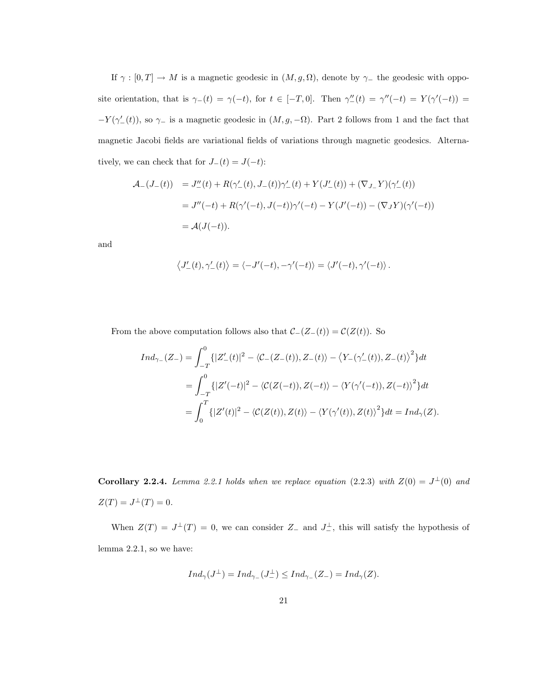If  $\gamma : [0, T] \to M$  is a magnetic geodesic in  $(M, g, \Omega)$ , denote by  $\gamma$ <sub>-</sub> the geodesic with opposite orientation, that is  $\gamma_-(t) = \gamma(-t)$ , for  $t \in [-T,0]$ . Then  $\gamma''_-(t) = \gamma''(-t) = Y(\gamma'(-t)) =$  $-Y(\gamma'_{-}(t))$ , so  $\gamma_{-}$  is a magnetic geodesic in  $(M, g, -\Omega)$ . Part 2 follows from 1 and the fact that magnetic Jacobi fields are variational fields of variations through magnetic geodesics. Alternatively, we can check that for  $J_-(t) = J(-t)$ :

$$
\begin{aligned}\n\mathcal{A}_{-}(J_{-}(t)) &= J_{-}''(t) + R(\gamma_{-}'(t), J_{-}(t))\gamma_{-}'(t) + Y(J_{-}'(t)) + (\nabla_{J_{-}}Y)(\gamma_{-}'(t)) \\
&= J''(-t) + R(\gamma'(-t), J(-t))\gamma'(-t) - Y(J'(-t)) - (\nabla_{J}Y)(\gamma'(-t)) \\
&= \mathcal{A}(J(-t)).\n\end{aligned}
$$

and

$$
\left\langle J'_{-}(t),\gamma'_{-}(t)\right\rangle =\left\langle -J'(-t),-\gamma'(-t)\right\rangle =\left\langle J'(-t),\gamma'(-t)\right\rangle .
$$

From the above computation follows also that  $C_{-}(Z_{-}(t)) = C(Z(t))$ . So

$$
Ind_{\gamma_{-}}(Z_{-}) = \int_{-T}^{0} \{ |Z'_{-}(t)|^{2} - \langle \mathcal{C}_{-}(Z_{-}(t)), Z_{-}(t) \rangle - \langle Y_{-}(\gamma'_{-}(t)), Z_{-}(t) \rangle^{2} \} dt
$$
  

$$
= \int_{-T}^{0} \{ |Z'(-t)|^{2} - \langle \mathcal{C}(Z(-t)), Z(-t) \rangle - \langle Y(\gamma'(-t)), Z(-t) \rangle^{2} \} dt
$$
  

$$
= \int_{0}^{T} \{ |Z'(t)|^{2} - \langle \mathcal{C}(Z(t)), Z(t) \rangle - \langle Y(\gamma'(t)), Z(t) \rangle^{2} \} dt = Ind_{\gamma}(Z).
$$

Corollary 2.2.4. Lemma 2.2.1 holds when we replace equation (2.2.3) with  $Z(0) = J^{\perp}(0)$  and  $Z(T) = J^{\perp}(T) = 0.$ 

When  $Z(T) = J^{\perp}(T) = 0$ , we can consider  $Z_{-}$  and  $J_{-}^{\perp}$ , this will satisfy the hypothesis of lemma 2.2.1, so we have:

$$
Ind_{\gamma}(J^{\perp}) = Ind_{\gamma_{-}}(J_{-}^{\perp}) \leq Ind_{\gamma_{-}}(Z_{-}) = Ind_{\gamma}(Z).
$$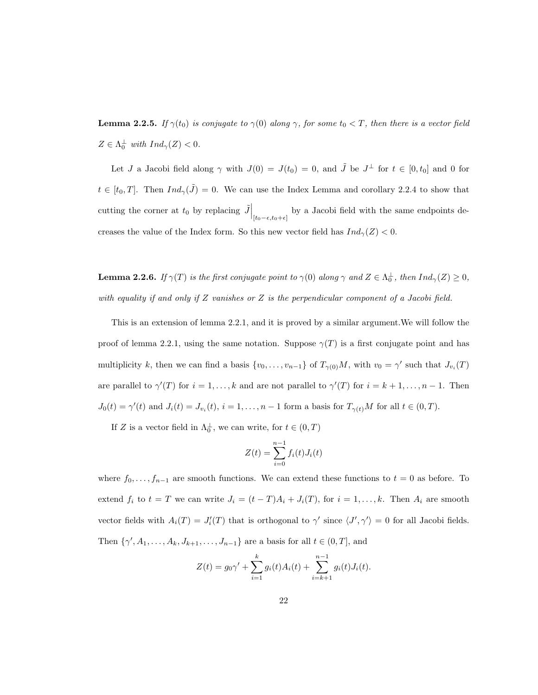**Lemma 2.2.5.** If  $\gamma(t_0)$  is conjugate to  $\gamma(0)$  along  $\gamma$ , for some  $t_0 < T$ , then there is a vector field  $Z \in \Lambda_0^{\perp}$  with  $Ind_{\gamma}(Z) < 0$ .

Let J a Jacobi field along  $\gamma$  with  $J(0) = J(t_0) = 0$ , and  $\tilde{J}$  be  $J^{\perp}$  for  $t \in [0, t_0]$  and 0 for  $t \in [t_0, T]$ . Then  $Ind_{\gamma}(\tilde{J}) = 0$ . We can use the Index Lemma and corollary 2.2.4 to show that cutting the corner at  $t_0$  by replacing  $\tilde{J}\Big|_{[t_0-\epsilon,t_0+\epsilon]}$  by a Jacobi field with the same endpoints decreases the value of the Index form. So this new vector field has  $Ind_{\gamma}(Z) < 0$ .

**Lemma 2.2.6.** If  $\gamma(T)$  is the first conjugate point to  $\gamma(0)$  along  $\gamma$  and  $Z \in \Lambda_0^{\perp}$ , then  $Ind_{\gamma}(Z) \geq 0$ , with equality if and only if  $Z$  vanishes or  $Z$  is the perpendicular component of a Jacobi field.

This is an extension of lemma 2.2.1, and it is proved by a similar argument.We will follow the proof of lemma 2.2.1, using the same notation. Suppose  $\gamma(T)$  is a first conjugate point and has multiplicity k, then we can find a basis  $\{v_0, \ldots, v_{n-1}\}$  of  $T_{\gamma(0)}M$ , with  $v_0 = \gamma'$  such that  $J_{v_i}(T)$ are parallel to  $\gamma'(T)$  for  $i = 1, ..., k$  and are not parallel to  $\gamma'(T)$  for  $i = k + 1, ..., n - 1$ . Then  $J_0(t) = \gamma'(t)$  and  $J_i(t) = J_{v_i}(t)$ ,  $i = 1, \ldots, n-1$  form a basis for  $T_{\gamma(t)}M$  for all  $t \in (0, T)$ .

If Z is a vector field in  $\Lambda_0^{\perp}$ , we can write, for  $t \in (0, T)$ 

$$
Z(t) = \sum_{i=0}^{n-1} f_i(t)J_i(t)
$$

where  $f_0, \ldots, f_{n-1}$  are smooth functions. We can extend these functions to  $t = 0$  as before. To extend  $f_i$  to  $t = T$  we can write  $J_i = (t - T)A_i + J_i(T)$ , for  $i = 1, ..., k$ . Then  $A_i$  are smooth vector fields with  $A_i(T) = J'_i(T)$  that is orthogonal to  $\gamma'$  since  $\langle J', \gamma' \rangle = 0$  for all Jacobi fields. Then  $\{\gamma', A_1, \ldots, A_k, J_{k+1}, \ldots, J_{n-1}\}$  are a basis for all  $t \in (0, T]$ , and

$$
Z(t) = g_0 \gamma' + \sum_{i=1}^k g_i(t) A_i(t) + \sum_{i=k+1}^{n-1} g_i(t) J_i(t).
$$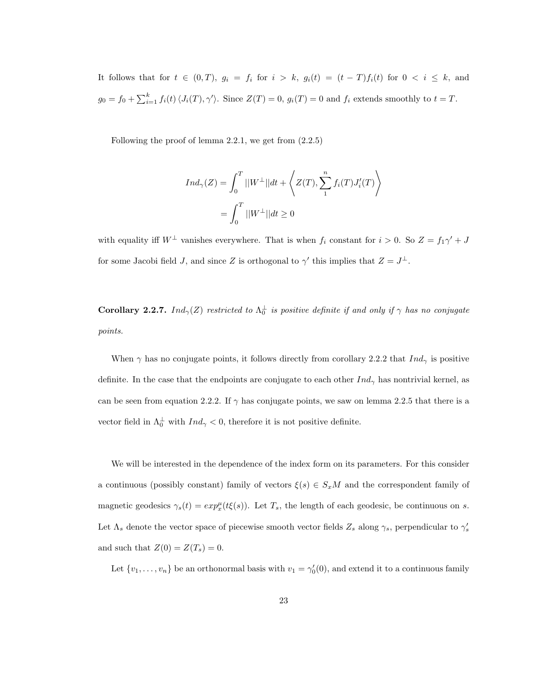It follows that for  $t \in (0,T)$ ,  $g_i = f_i$  for  $i > k$ ,  $g_i(t) = (t - T)f_i(t)$  for  $0 < i \leq k$ , and  $g_0 = f_0 + \sum_{i=1}^k f_i(t) \langle J_i(T), \gamma' \rangle$ . Since  $Z(T) = 0$ ,  $g_i(T) = 0$  and  $f_i$  extends smoothly to  $t = T$ .

Following the proof of lemma 2.2.1, we get from (2.2.5)

$$
Ind_{\gamma}(Z) = \int_0^T ||W^{\perp}||dt + \left\langle Z(T), \sum_{1}^n f_i(T)J_i'(T) \right\rangle
$$
  
= 
$$
\int_0^T ||W^{\perp}||dt \ge 0
$$

with equality iff  $W^{\perp}$  vanishes everywhere. That is when  $f_i$  constant for  $i > 0$ . So  $Z = f_1 \gamma' + J$ for some Jacobi field J, and since Z is orthogonal to  $\gamma'$  this implies that  $Z = J^{\perp}$ .

**Corollary 2.2.7.** Ind<sub>γ</sub>(Z) restricted to  $\Lambda_0^{\perp}$  is positive definite if and only if  $\gamma$  has no conjugate points.

When  $\gamma$  has no conjugate points, it follows directly from corollary 2.2.2 that Ind<sub> $\gamma$ </sub> is positive definite. In the case that the endpoints are conjugate to each other  $Ind_{\gamma}$  has nontrivial kernel, as can be seen from equation 2.2.2. If  $\gamma$  has conjugate points, we saw on lemma 2.2.5 that there is a vector field in  $\Lambda_0^{\perp}$  with  $Ind_{\gamma} < 0$ , therefore it is not positive definite.

We will be interested in the dependence of the index form on its parameters. For this consider a continuous (possibly constant) family of vectors  $\xi(s) \in S_xM$  and the correspondent family of magnetic geodesics  $\gamma_s(t) = exp_x^{\mu}(t\xi(s))$ . Let  $T_s$ , the length of each geodesic, be continuous on s. Let  $\Lambda_s$  denote the vector space of piecewise smooth vector fields  $Z_s$  along  $\gamma_s$ , perpendicular to  $\gamma'_s$ and such that  $Z(0) = Z(T_s) = 0$ .

Let  $\{v_1, \ldots, v_n\}$  be an orthonormal basis with  $v_1 = \gamma'_0(0)$ , and extend it to a continuous family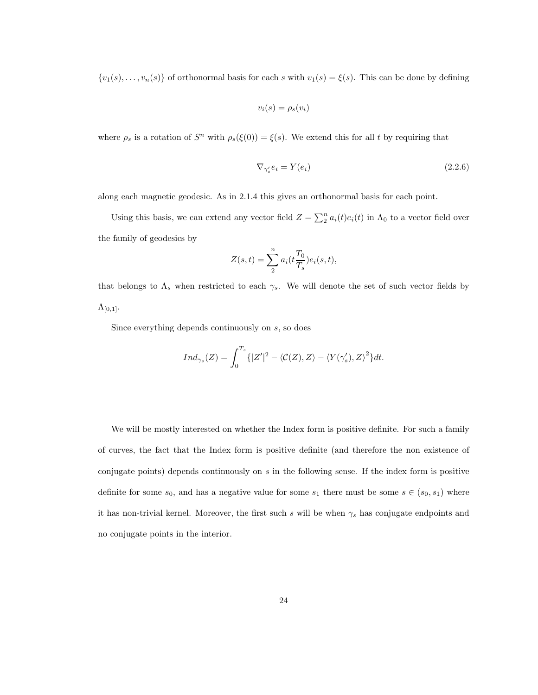$\{v_1(s), \ldots, v_n(s)\}\$  of orthonormal basis for each s with  $v_1(s) = \xi(s)$ . This can be done by defining

$$
v_i(s) = \rho_s(v_i)
$$

where  $\rho_s$  is a rotation of  $S^n$  with  $\rho_s(\xi(0)) = \xi(s)$ . We extend this for all t by requiring that

$$
\nabla_{\gamma_s'} e_i = Y(e_i) \tag{2.2.6}
$$

along each magnetic geodesic. As in 2.1.4 this gives an orthonormal basis for each point.

Using this basis, we can extend any vector field  $Z = \sum_{i=1}^{n} a_i(t)e_i(t)$  in  $\Lambda_0$  to a vector field over the family of geodesics by

$$
Z(s,t) = \sum_{n=2}^{n} a_i(t \frac{T_0}{T_s}) e_i(s,t),
$$

that belongs to  $\Lambda_s$  when restricted to each  $\gamma_s$ . We will denote the set of such vector fields by  $\Lambda_{[0,1]}.$ 

Since everything depends continuously on s, so does

$$
Ind_{\gamma_s}(Z) = \int_0^{T_s} \{ |Z'|^2 - \langle C(Z), Z \rangle - \langle Y(\gamma'_s), Z \rangle^2 \} dt.
$$

We will be mostly interested on whether the Index form is positive definite. For such a family of curves, the fact that the Index form is positive definite (and therefore the non existence of conjugate points) depends continuously on  $s$  in the following sense. If the index form is positive definite for some  $s_0$ , and has a negative value for some  $s_1$  there must be some  $s \in (s_0, s_1)$  where it has non-trivial kernel. Moreover, the first such s will be when  $\gamma_s$  has conjugate endpoints and no conjugate points in the interior.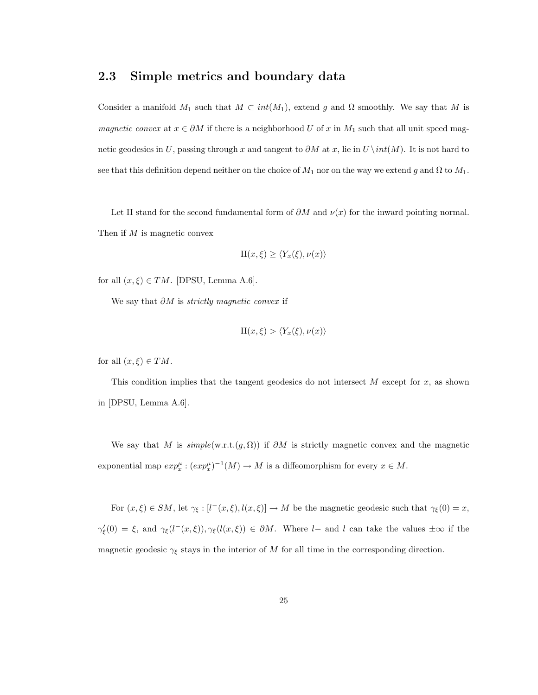## 2.3 Simple metrics and boundary data

Consider a manifold  $M_1$  such that  $M \subset int(M_1)$ , extend g and  $\Omega$  smoothly. We say that M is magnetic convex at  $x \in \partial M$  if there is a neighborhood U of x in  $M_1$  such that all unit speed magnetic geodesics in U, passing through x and tangent to  $\partial M$  at x, lie in U \int(M). It is not hard to see that this definition depend neither on the choice of  $M_1$  nor on the way we extend g and  $\Omega$  to  $M_1$ .

Let II stand for the second fundamental form of  $\partial M$  and  $\nu(x)$  for the inward pointing normal. Then if  $M$  is magnetic convex

$$
\mathrm{II}(x,\xi) \geq \langle Y_x(\xi), \nu(x) \rangle
$$

for all  $(x, \xi) \in TM$ . [DPSU, Lemma A.6].

We say that  $\partial M$  is *strictly magnetic convex* if

$$
\Pi(x,\xi) > \langle Y_x(\xi),\nu(x) \rangle
$$

for all  $(x, \xi) \in TM$ .

This condition implies that the tangent geodesics do not intersect  $M$  except for  $x$ , as shown in [DPSU, Lemma A.6].

We say that M is  $simple(w.r.t.(g, \Omega))$  if  $\partial M$  is strictly magnetic convex and the magnetic exponential map  $exp_x^{\mu}$ :  $(exp_x^{\mu})^{-1}(M) \to M$  is a diffeomorphism for every  $x \in M$ .

For  $(x,\xi) \in SM$ , let  $\gamma_{\xi} : [l^-(x,\xi), l(x,\xi)] \to M$  be the magnetic geodesic such that  $\gamma_{\xi}(0) = x$ ,  $\gamma_{\xi}'(0) = \xi$ , and  $\gamma_{\xi}(l^-(x,\xi)), \gamma_{\xi}(l(x,\xi)) \in \partial M$ . Where l– and l can take the values  $\pm \infty$  if the magnetic geodesic  $\gamma_{\xi}$  stays in the interior of M for all time in the corresponding direction.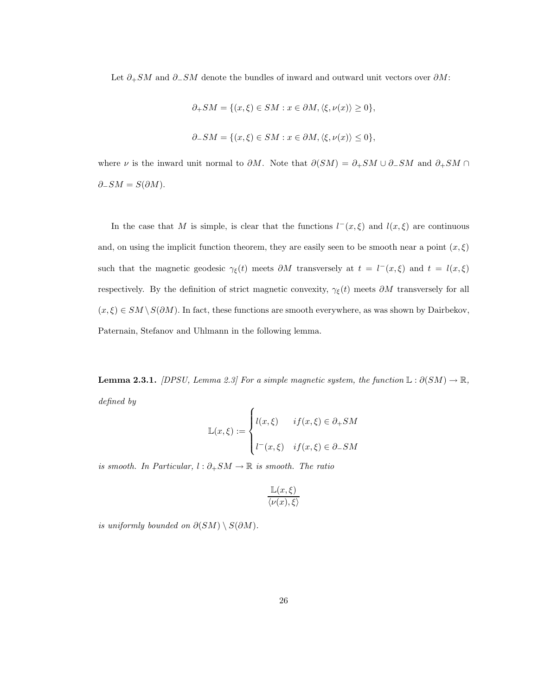Let  $\partial_{+}SM$  and  $\partial_{-}SM$  denote the bundles of inward and outward unit vectors over  $\partial M$ :

$$
\partial_+SM=\{(x,\xi)\in SM:x\in\partial M,\langle\xi,\nu(x)\rangle\geq 0\},
$$
  

$$
\partial_-SM=\{(x,\xi)\in SM:x\in\partial M,\langle\xi,\nu(x)\rangle\leq 0\},
$$

where  $\nu$  is the inward unit normal to  $\partial M$ . Note that  $\partial(SM) = \partial_+SM \cup \partial_-SM$  and  $\partial_+SM \cap$  $\partial$ <sub>−</sub>SM = S( $\partial$ M).

In the case that M is simple, is clear that the functions  $l^-(x,\xi)$  and  $l(x,\xi)$  are continuous and, on using the implicit function theorem, they are easily seen to be smooth near a point  $(x, \xi)$ such that the magnetic geodesic  $\gamma_{\xi}(t)$  meets  $\partial M$  transversely at  $t = l^-(x,\xi)$  and  $t = l(x,\xi)$ respectively. By the definition of strict magnetic convexity,  $\gamma_{\xi}(t)$  meets  $\partial M$  transversely for all  $(x, \xi) \in SM \setminus S(\partial M)$ . In fact, these functions are smooth everywhere, as was shown by Dairbekov, Paternain, Stefanov and Uhlmann in the following lemma.

**Lemma 2.3.1.** [DPSU, Lemma 2.3] For a simple magnetic system, the function  $\mathbb{L}: \partial(SM) \to \mathbb{R}$ , defined by  $\overline{\phantom{a}}$ 

$$
\mathbb{L}(x,\xi) := \begin{cases} l(x,\xi) & \text{if } (x,\xi) \in \partial_+ SM \\ l^-(x,\xi) & \text{if } (x,\xi) \in \partial_- SM \end{cases}
$$

is smooth. In Particular,  $l : \partial_+ SM \to \mathbb{R}$  is smooth. The ratio

$$
\frac{\mathbb{L}(x,\xi)}{\langle \nu(x),\xi\rangle}
$$

is uniformly bounded on  $\partial(SM) \setminus S(\partial M)$ .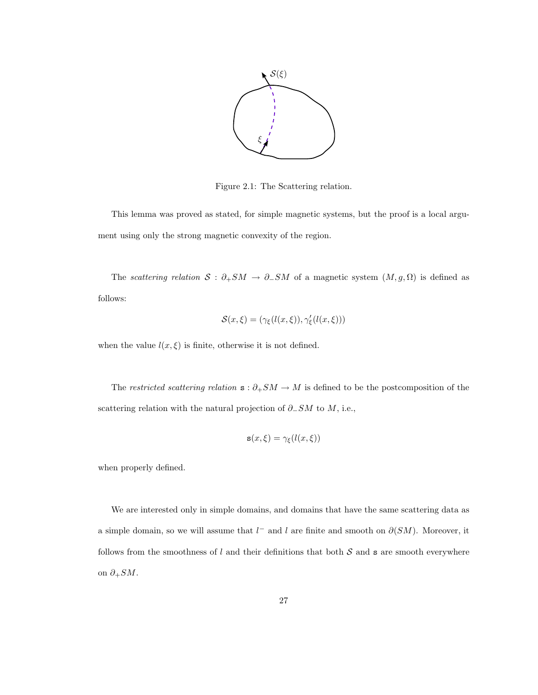

Figure 2.1: The Scattering relation.

This lemma was proved as stated, for simple magnetic systems, but the proof is a local argument using only the strong magnetic convexity of the region.

The scattering relation  $S : \partial_+SM \to \partial_-SM$  of a magnetic system  $(M, g, \Omega)$  is defined as follows:

$$
\mathcal{S}(x,\xi) = (\gamma_{\xi}(l(x,\xi)), \gamma_{\xi}'(l(x,\xi)))
$$

when the value  $l(x, \xi)$  is finite, otherwise it is not defined.

The restricted scattering relation  $\mathbf{s} : \partial_+SM \to M$  is defined to be the postcomposition of the scattering relation with the natural projection of  $\partial$ −SM to M, i.e.,

$$
\mathbf{s}(x,\xi) = \gamma_{\xi}(l(x,\xi))
$$

when properly defined.

We are interested only in simple domains, and domains that have the same scattering data as a simple domain, so we will assume that  $l^-$  and  $l$  are finite and smooth on  $\partial(SM)$ . Moreover, it follows from the smoothness of  $l$  and their definitions that both  $S$  and  $s$  are smooth everywhere on  $\partial_+SM$ .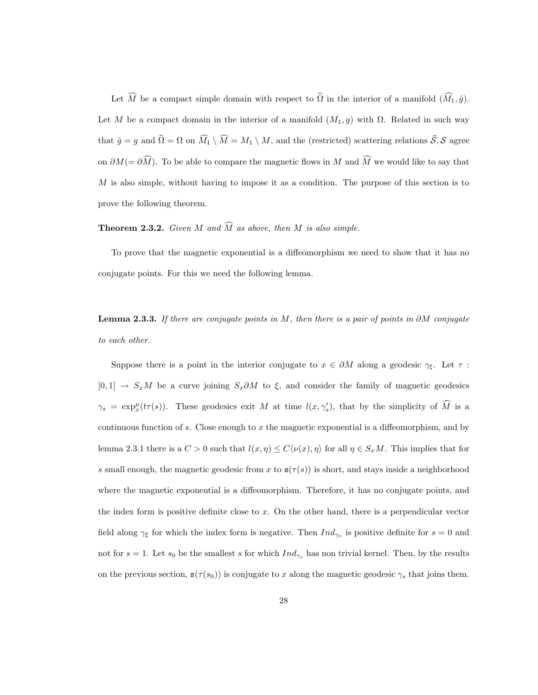Let  $\widehat{M}$  be a compact simple domain with respect to  $\widehat{\Omega}$  in the interior of a manifold  $(\widehat{M}_1, \widehat{g})$ . Let M be a compact domain in the interior of a manifold  $(M_1, g)$  with  $\Omega$ . Related in such way that  $\hat{g} = g$  and  $\hat{\Omega} = \Omega$  on  $\widehat{M}_1 \setminus \widehat{M} = M_1 \setminus M$ , and the (restricted) scattering relations  $\widehat{S}, S$  agree on  $\partial M (= \partial \widehat{M})$ . To be able to compare the magnetic flows in M and  $\widehat{M}$  we would like to say that  $M$  is also simple, without having to impose it as a condition. The purpose of this section is to prove the following theorem.

#### **Theorem 2.3.2.** Given M and  $\widehat{M}$  as above, then M is also simple.

To prove that the magnetic exponential is a diffeomorphism we need to show that it has no conjugate points. For this we need the following lemma.

**Lemma 2.3.3.** If there are conjugate points in M, then there is a pair of points in ∂M conjugate to each other.

Suppose there is a point in the interior conjugate to  $x \in \partial M$  along a geodesic  $\gamma_{\xi}$ . Let  $\tau$ :  $[0, 1]$  →  $S_xM$  be a curve joining  $S_x\partial M$  to  $\xi$ , and consider the family of magnetic geodesics  $\gamma_s = \exp_x^{\mu}(t\tau(s))$ . These geodesics exit M at time  $l(x, \gamma'_s)$ , that by the simplicity of  $\widehat{M}$  is a continuous function of s. Close enough to  $x$  the magnetic exponential is a diffeomorphism, and by lemma 2.3.1 there is a  $C > 0$  such that  $l(x, \eta) \le C\langle \nu(x), \eta \rangle$  for all  $\eta \in S_xM$ . This implies that for s small enough, the magnetic geodesic from x to  $s(\tau(s))$  is short, and stays inside a neighborhood where the magnetic exponential is a diffeomorphism. Therefore, it has no conjugate points, and the index form is positive definite close to  $x$ . On the other hand, there is a perpendicular vector field along  $\gamma_{\xi}$  for which the index form is negative. Then  $Ind_{\gamma_{s}}$  is positive definite for  $s=0$  and not for  $s = 1$ . Let  $s_0$  be the smallest s for which  $Ind_{\gamma_s}$  has non trivial kernel. Then, by the results on the previous section,  $s(\tau(s_0))$  is conjugate to x along the magnetic geodesic  $\gamma_s$  that joins them.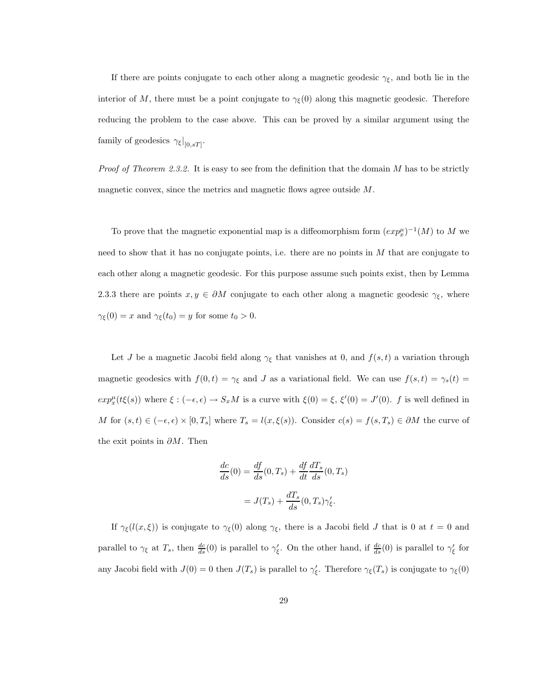If there are points conjugate to each other along a magnetic geodesic  $\gamma_{\xi}$ , and both lie in the interior of M, there must be a point conjugate to  $\gamma_{\xi}(0)$  along this magnetic geodesic. Therefore reducing the problem to the case above. This can be proved by a similar argument using the family of geodesics  $\gamma_{\xi}|_{[0,sT]}$ .

*Proof of Theorem 2.3.2.* It is easy to see from the definition that the domain  $M$  has to be strictly magnetic convex, since the metrics and magnetic flows agree outside M.

To prove that the magnetic exponential map is a diffeomorphism form  $(exp_x^{\mu})^{-1}(M)$  to M we need to show that it has no conjugate points, i.e. there are no points in  $M$  that are conjugate to each other along a magnetic geodesic. For this purpose assume such points exist, then by Lemma 2.3.3 there are points  $x, y \in \partial M$  conjugate to each other along a magnetic geodesic  $\gamma_{\xi}$ , where  $\gamma_{\xi}(0) = x$  and  $\gamma_{\xi}(t_0) = y$  for some  $t_0 > 0$ .

Let J be a magnetic Jacobi field along  $\gamma_{\xi}$  that vanishes at 0, and  $f(s, t)$  a variation through magnetic geodesics with  $f(0, t) = \gamma_{\xi}$  and J as a variational field. We can use  $f(s, t) = \gamma_s(t) =$  $exp_x^{\mu}(t\xi(s))$  where  $\xi: (-\epsilon, \epsilon) \to S_xM$  is a curve with  $\xi(0) = \xi$ ,  $\xi'(0) = J'(0)$ . f is well defined in M for  $(s,t) \in (-\epsilon, \epsilon) \times [0,T_s]$  where  $T_s = l(x,\xi(s))$ . Consider  $c(s) = f(s,T_s) \in \partial M$  the curve of the exit points in  $\partial M$ . Then

$$
\frac{dc}{ds}(0) = \frac{df}{ds}(0, T_s) + \frac{df}{dt}\frac{dT_s}{ds}(0, T_s)
$$

$$
= J(T_s) + \frac{dT_s}{ds}(0, T_s)\gamma'_\xi.
$$

If  $\gamma_{\xi}(l(x,\xi))$  is conjugate to  $\gamma_{\xi}(0)$  along  $\gamma_{\xi}$ , there is a Jacobi field J that is 0 at  $t=0$  and parallel to  $\gamma_{\xi}$  at  $T_s$ , then  $\frac{dc}{ds}(0)$  is parallel to  $\gamma_{\xi}'$ . On the other hand, if  $\frac{dc}{ds}(0)$  is parallel to  $\gamma_{\xi}'$  for any Jacobi field with  $J(0) = 0$  then  $J(T_s)$  is parallel to  $\gamma'_\xi$ . Therefore  $\gamma_\xi(T_s)$  is conjugate to  $\gamma_\xi(0)$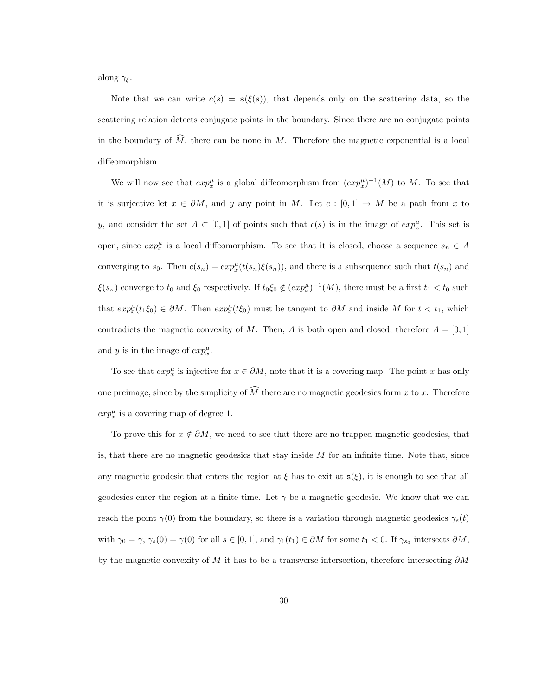along  $\gamma_{\xi}$ .

Note that we can write  $c(s) = s(\xi(s))$ , that depends only on the scattering data, so the scattering relation detects conjugate points in the boundary. Since there are no conjugate points in the boundary of  $\widehat{M}$ , there can be none in M. Therefore the magnetic exponential is a local diffeomorphism.

We will now see that  $exp_x^{\mu}$  is a global diffeomorphism from  $(exp_x^{\mu})^{-1}(M)$  to M. To see that it is surjective let  $x \in \partial M$ , and y any point in M. Let  $c : [0,1] \to M$  be a path from x to y, and consider the set  $A \subset [0,1]$  of points such that  $c(s)$  is in the image of  $exp_x^{\mu}$ . This set is open, since  $exp_x^{\mu}$  is a local diffeomorphism. To see that it is closed, choose a sequence  $s_n \in A$ converging to  $s_0$ . Then  $c(s_n) = exp_x^{\mu}(t(s_n)\xi(s_n))$ , and there is a subsequence such that  $t(s_n)$  and  $\xi(s_n)$  converge to  $t_0$  and  $\xi_0$  respectively. If  $t_0 \xi_0 \notin (exp_x^{\mu})^{-1}(M)$ , there must be a first  $t_1 < t_0$  such that  $exp_x^{\mu}(t_1\xi_0) \in \partial M$ . Then  $exp_x^{\mu}(t\xi_0)$  must be tangent to  $\partial M$  and inside M for  $t < t_1$ , which contradicts the magnetic convexity of M. Then, A is both open and closed, therefore  $A = [0, 1]$ and y is in the image of  $exp_x^{\mu}$ .

To see that  $exp_x^{\mu}$  is injective for  $x \in \partial M$ , note that it is a covering map. The point x has only one preimage, since by the simplicity of  $\widehat{M}$  there are no magnetic geodesics form x to x. Therefore  $exp_x^{\mu}$  is a covering map of degree 1.

To prove this for  $x \notin \partial M$ , we need to see that there are no trapped magnetic geodesics, that is, that there are no magnetic geodesics that stay inside  $M$  for an infinite time. Note that, since any magnetic geodesic that enters the region at  $\xi$  has to exit at  $s(\xi)$ , it is enough to see that all geodesics enter the region at a finite time. Let  $\gamma$  be a magnetic geodesic. We know that we can reach the point  $\gamma(0)$  from the boundary, so there is a variation through magnetic geodesics  $\gamma_s(t)$ with  $\gamma_0 = \gamma$ ,  $\gamma_s(0) = \gamma(0)$  for all  $s \in [0, 1]$ , and  $\gamma_1(t_1) \in \partial M$  for some  $t_1 < 0$ . If  $\gamma_{s_0}$  intersects  $\partial M$ , by the magnetic convexity of M it has to be a transverse intersection, therefore intersecting  $\partial M$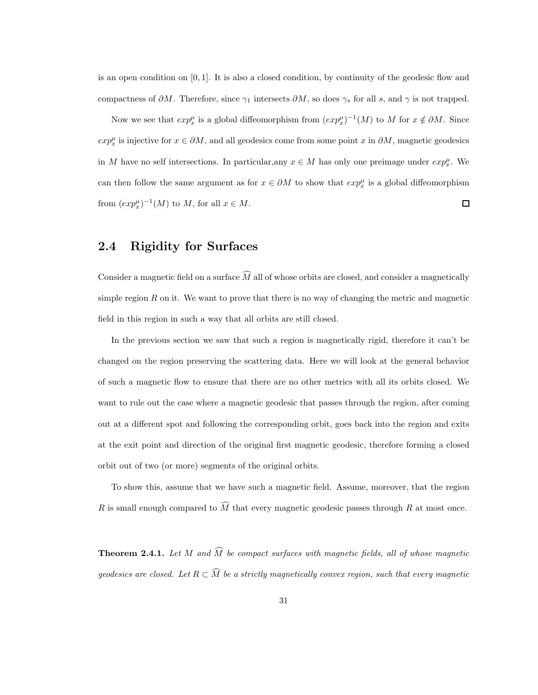is an open condition on  $[0, 1]$ . It is also a closed condition, by continuity of the geodesic flow and compactness of  $\partial M$ . Therefore, since  $\gamma_1$  intersects  $\partial M$ , so does  $\gamma_s$  for all s, and  $\gamma$  is not trapped.

Now we see that  $exp_x^{\mu}$  is a global diffeomorphism from  $(exp_x^{\mu})^{-1}(M)$  to M for  $x \notin \partial M$ . Since  $exp_x^{\mu}$  is injective for  $x \in \partial M$ , and all geodesics come from some point x in  $\partial M$ , magnetic geodesics in M have no self intersections. In particular, any  $x \in M$  has only one preimage under  $exp_x^{\mu}$ . We can then follow the same argument as for  $x \in \partial M$  to show that  $exp_x^{\mu}$  is a global diffeomorphism from  $(exp_x^{\mu})^{-1}(M)$  to M, for all  $x \in M$ .  $\Box$ 

## 2.4 Rigidity for Surfaces

Consider a magnetic field on a surface  $\widehat{M}$  all of whose orbits are closed, and consider a magnetically simple region  $R$  on it. We want to prove that there is no way of changing the metric and magnetic field in this region in such a way that all orbits are still closed.

In the previous section we saw that such a region is magnetically rigid, therefore it can't be changed on the region preserving the scattering data. Here we will look at the general behavior of such a magnetic flow to ensure that there are no other metrics with all its orbits closed. We want to rule out the case where a magnetic geodesic that passes through the region, after coming out at a different spot and following the corresponding orbit, goes back into the region and exits at the exit point and direction of the original first magnetic geodesic, therefore forming a closed orbit out of two (or more) segments of the original orbits.

To show this, assume that we have such a magnetic field. Assume, moreover, that the region R is small enough compared to  $\widehat{M}$  that every magnetic geodesic passes through R at most once.

**Theorem 2.4.1.** Let M and  $\widehat{M}$  be compact surfaces with magnetic fields, all of whose magnetic geodesics are closed. Let  $R \subset \widehat{M}$  be a strictly magnetically convex region, such that every magnetic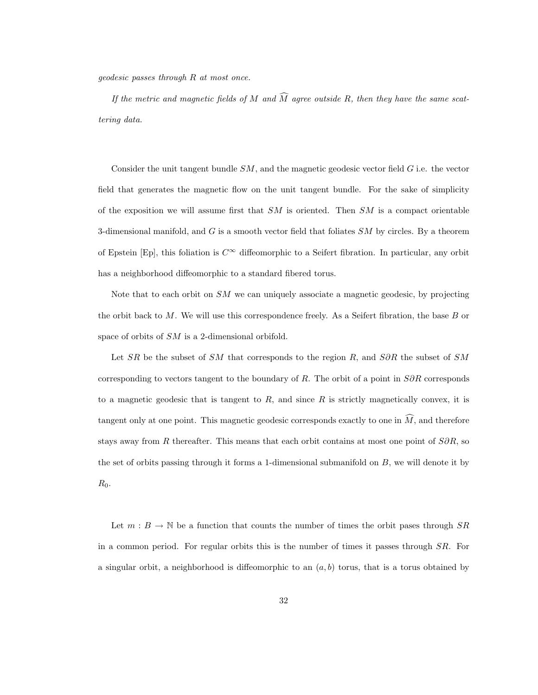geodesic passes through R at most once.

If the metric and magnetic fields of M and  $\widehat{M}$  agree outside R, then they have the same scattering data.

Consider the unit tangent bundle  $SM$ , and the magnetic geodesic vector field  $G$  i.e. the vector field that generates the magnetic flow on the unit tangent bundle. For the sake of simplicity of the exposition we will assume first that  $SM$  is oriented. Then  $SM$  is a compact orientable 3-dimensional manifold, and  $G$  is a smooth vector field that foliates  $SM$  by circles. By a theorem of Epstein [Ep], this foliation is  $C^{\infty}$  diffeomorphic to a Seifert fibration. In particular, any orbit has a neighborhood diffeomorphic to a standard fibered torus.

Note that to each orbit on  $SM$  we can uniquely associate a magnetic geodesic, by projecting the orbit back to  $M$ . We will use this correspondence freely. As a Seifert fibration, the base  $B$  or space of orbits of SM is a 2-dimensional orbifold.

Let SR be the subset of SM that corresponds to the region R, and S∂R the subset of SM corresponding to vectors tangent to the boundary of R. The orbit of a point in  $S\partial R$  corresponds to a magnetic geodesic that is tangent to  $R$ , and since  $R$  is strictly magnetically convex, it is tangent only at one point. This magnetic geodesic corresponds exactly to one in  $\widehat{M}$ , and therefore stays away from R thereafter. This means that each orbit contains at most one point of  $S\partial R$ , so the set of orbits passing through it forms a 1-dimensional submanifold on  $B$ , we will denote it by  $R_0$ .

Let  $m : B \to \mathbb{N}$  be a function that counts the number of times the orbit pases through  $SR$ in a common period. For regular orbits this is the number of times it passes through SR. For a singular orbit, a neighborhood is diffeomorphic to an  $(a, b)$  torus, that is a torus obtained by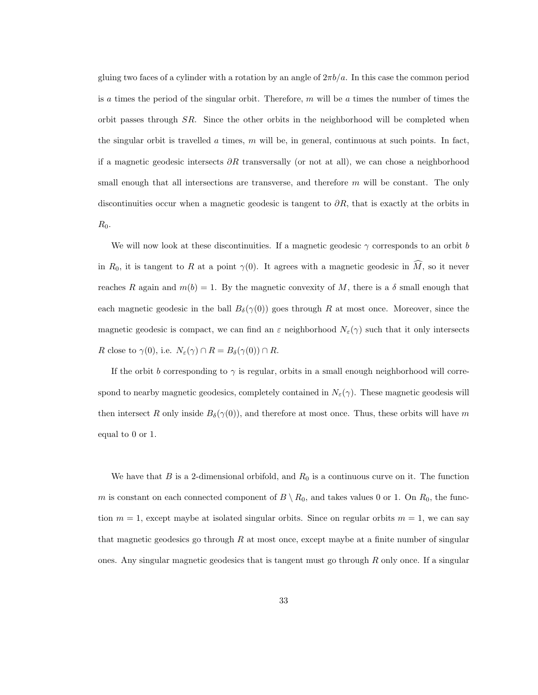gluing two faces of a cylinder with a rotation by an angle of  $2\pi b/a$ . In this case the common period is a times the period of the singular orbit. Therefore,  $m$  will be a times the number of times the orbit passes through SR. Since the other orbits in the neighborhood will be completed when the singular orbit is travelled a times,  $m$  will be, in general, continuous at such points. In fact, if a magnetic geodesic intersects  $\partial R$  transversally (or not at all), we can chose a neighborhood small enough that all intersections are transverse, and therefore  $m$  will be constant. The only discontinuities occur when a magnetic geodesic is tangent to  $\partial R$ , that is exactly at the orbits in  $R_0$ .

We will now look at these discontinuities. If a magnetic geodesic  $\gamma$  corresponds to an orbit b in  $R_0$ , it is tangent to R at a point  $\gamma(0)$ . It agrees with a magnetic geodesic in  $\widehat{M}$ , so it never reaches R again and  $m(b) = 1$ . By the magnetic convexity of M, there is a  $\delta$  small enough that each magnetic geodesic in the ball  $B_{\delta}(\gamma(0))$  goes through R at most once. Moreover, since the magnetic geodesic is compact, we can find an  $\varepsilon$  neighborhood  $N_{\varepsilon}(\gamma)$  such that it only intersects R close to  $\gamma(0)$ , i.e.  $N_{\varepsilon}(\gamma) \cap R = B_{\delta}(\gamma(0)) \cap R$ .

If the orbit b corresponding to  $\gamma$  is regular, orbits in a small enough neighborhood will correspond to nearby magnetic geodesics, completely contained in  $N_{\varepsilon}(\gamma)$ . These magnetic geodesis will then intersect R only inside  $B_\delta(\gamma(0))$ , and therefore at most once. Thus, these orbits will have m equal to 0 or 1.

We have that B is a 2-dimensional orbifold, and  $R_0$  is a continuous curve on it. The function m is constant on each connected component of  $B \setminus R_0$ , and takes values 0 or 1. On  $R_0$ , the function  $m = 1$ , except maybe at isolated singular orbits. Since on regular orbits  $m = 1$ , we can say that magnetic geodesics go through  $R$  at most once, except maybe at a finite number of singular ones. Any singular magnetic geodesics that is tangent must go through  $R$  only once. If a singular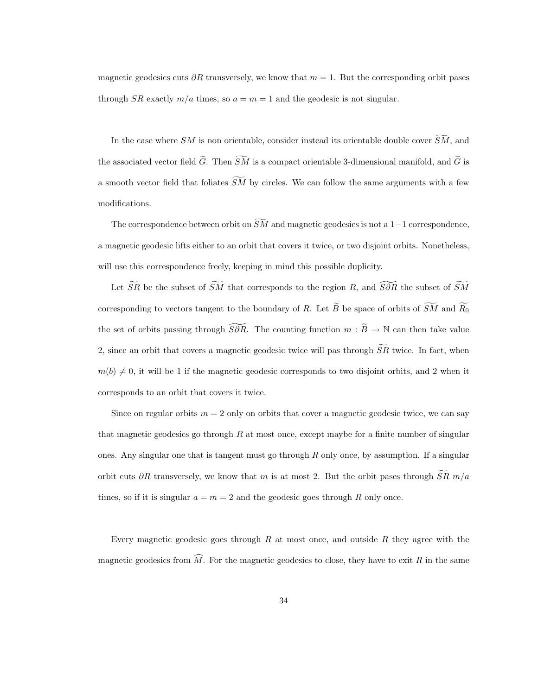magnetic geodesics cuts  $\partial R$  transversely, we know that  $m = 1$ . But the corresponding orbit pases through SR exactly  $m/a$  times, so  $a = m = 1$  and the geodesic is not singular.

In the case where SM is non orientable, consider instead its orientable double cover  $\overline{SM}$ , and the associated vector field  $\widetilde{G}$ . Then  $\widetilde{SM}$  is a compact orientable 3-dimensional manifold, and  $\widetilde{G}$  is a smooth vector field that foliates  $\widetilde{SM}$  by circles. We can follow the same arguments with a few modifications.

The correspondence between orbit on  $\widetilde{SM}$  and magnetic geodesics is not a 1–1 correspondence, a magnetic geodesic lifts either to an orbit that covers it twice, or two disjoint orbits. Nonetheless, will use this correspondence freely, keeping in mind this possible duplicity.

Let  $\widetilde{SR}$  be the subset of  $\widetilde{SM}$  that corresponds to the region R, and  $\widetilde{SOR}$  the subset of  $\widetilde{SM}$ corresponding to vectors tangent to the boundary of R. Let  $\widetilde{B}$  be space of orbits of  $\widetilde{SM}$  and  $\widetilde{R_0}$ the set of orbits passing through  $\widetilde{S\partial R}$ . The counting function  $m : \widetilde{B} \to \mathbb{N}$  can then take value 2, since an orbit that covers a magnetic geodesic twice will pas through  $\overline{SR}$  twice. In fact, when  $m(b) \neq 0$ , it will be 1 if the magnetic geodesic corresponds to two disjoint orbits, and 2 when it corresponds to an orbit that covers it twice.

Since on regular orbits  $m = 2$  only on orbits that cover a magnetic geodesic twice, we can say that magnetic geodesics go through  $R$  at most once, except maybe for a finite number of singular ones. Any singular one that is tangent must go through  $R$  only once, by assumption. If a singular orbit cuts ∂R transversely, we know that m is at most 2. But the orbit pases through  $\overline{SR}$  m/a times, so if it is singular  $a = m = 2$  and the geodesic goes through R only once.

Every magnetic geodesic goes through  $R$  at most once, and outside  $R$  they agree with the magnetic geodesics from  $\widehat{M}$ . For the magnetic geodesics to close, they have to exit R in the same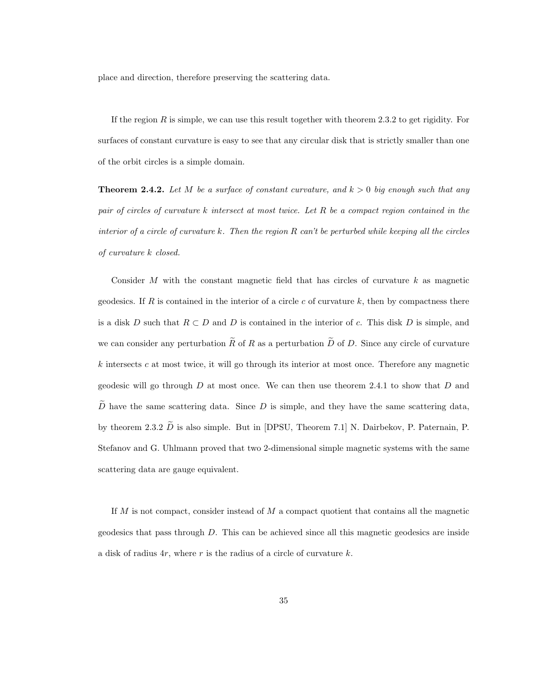place and direction, therefore preserving the scattering data.

If the region  $R$  is simple, we can use this result together with theorem 2.3.2 to get rigidity. For surfaces of constant curvature is easy to see that any circular disk that is strictly smaller than one of the orbit circles is a simple domain.

**Theorem 2.4.2.** Let M be a surface of constant curvature, and  $k > 0$  big enough such that any pair of circles of curvature k intersect at most twice. Let R be a compact region contained in the interior of a circle of curvature k. Then the region  $R$  can't be perturbed while keeping all the circles of curvature k closed.

Consider M with the constant magnetic field that has circles of curvature  $k$  as magnetic geodesics. If R is contained in the interior of a circle c of curvature k, then by compactness there is a disk D such that  $R \subset D$  and D is contained in the interior of c. This disk D is simple, and we can consider any perturbation  $\widetilde{R}$  of R as a perturbation  $\widetilde{D}$  of D. Since any circle of curvature  $k$  intersects  $c$  at most twice, it will go through its interior at most once. Therefore any magnetic geodesic will go through  $D$  at most once. We can then use theorem 2.4.1 to show that  $D$  and  $\tilde{D}$  have the same scattering data. Since D is simple, and they have the same scattering data, by theorem 2.3.2  $\tilde{D}$  is also simple. But in [DPSU, Theorem 7.1] N. Dairbekov, P. Paternain, P. Stefanov and G. Uhlmann proved that two 2-dimensional simple magnetic systems with the same scattering data are gauge equivalent.

If  $M$  is not compact, consider instead of  $M$  a compact quotient that contains all the magnetic geodesics that pass through D. This can be achieved since all this magnetic geodesics are inside a disk of radius  $4r$ , where r is the radius of a circle of curvature k.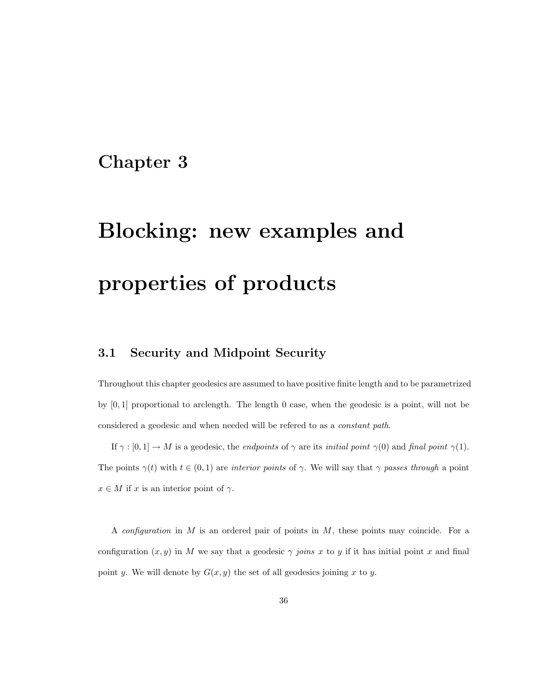# Chapter 3

# Blocking: new examples and properties of products

## 3.1 Security and Midpoint Security

Throughout this chapter geodesics are assumed to have positive finite length and to be parametrized by [0, 1] proportional to arclength. The length 0 case, when the geodesic is a point, will not be considered a geodesic and when needed will be refered to as a constant path.

If  $\gamma : [0,1] \to M$  is a geodesic, the *endpoints* of  $\gamma$  are its *initial point*  $\gamma(0)$  and *final point*  $\gamma(1)$ . The points  $\gamma(t)$  with  $t \in (0,1)$  are interior points of  $\gamma$ . We will say that  $\gamma$  passes through a point  $x \in M$  if x is an interior point of  $\gamma$ .

A *configuration* in  $M$  is an ordered pair of points in  $M$ , these points may coincide. For a configuration  $(x, y)$  in M we say that a geodesic  $\gamma$  joins x to y if it has initial point x and final point y. We will denote by  $G(x, y)$  the set of all geodesics joining x to y.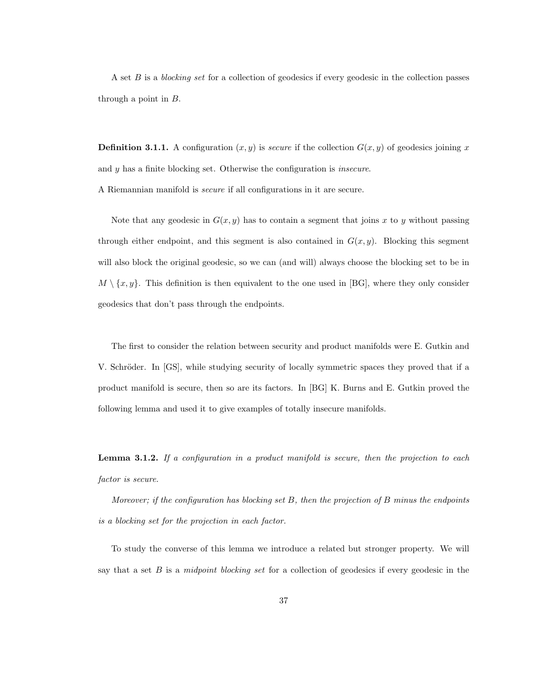A set  $B$  is a blocking set for a collection of geodesics if every geodesic in the collection passes through a point in  $B$ .

**Definition 3.1.1.** A configuration  $(x, y)$  is *secure* if the collection  $G(x, y)$  of geodesics joining x and y has a finite blocking set. Otherwise the configuration is insecure. A Riemannian manifold is secure if all configurations in it are secure.

Note that any geodesic in  $G(x, y)$  has to contain a segment that joins x to y without passing through either endpoint, and this segment is also contained in  $G(x, y)$ . Blocking this segment will also block the original geodesic, so we can (and will) always choose the blocking set to be in  $M \setminus \{x, y\}$ . This definition is then equivalent to the one used in [BG], where they only consider geodesics that don't pass through the endpoints.

The first to consider the relation between security and product manifolds were E. Gutkin and V. Schröder. In [GS], while studying security of locally symmetric spaces they proved that if a product manifold is secure, then so are its factors. In [BG] K. Burns and E. Gutkin proved the following lemma and used it to give examples of totally insecure manifolds.

**Lemma 3.1.2.** If a configuration in a product manifold is secure, then the projection to each factor is secure.

Moreover; if the configuration has blocking set B, then the projection of B minus the endpoints is a blocking set for the projection in each factor.

To study the converse of this lemma we introduce a related but stronger property. We will say that a set  $B$  is a midpoint blocking set for a collection of geodesics if every geodesic in the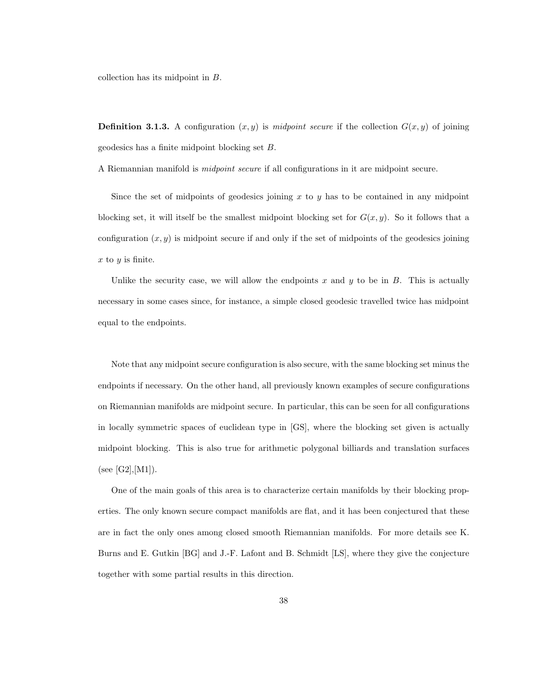collection has its midpoint in B.

**Definition 3.1.3.** A configuration  $(x, y)$  is midpoint secure if the collection  $G(x, y)$  of joining geodesics has a finite midpoint blocking set B.

A Riemannian manifold is midpoint secure if all configurations in it are midpoint secure.

Since the set of midpoints of geodesics joining  $x$  to  $y$  has to be contained in any midpoint blocking set, it will itself be the smallest midpoint blocking set for  $G(x, y)$ . So it follows that a configuration  $(x, y)$  is midpoint secure if and only if the set of midpoints of the geodesics joining  $x$  to  $y$  is finite.

Unlike the security case, we will allow the endpoints x and y to be in  $B$ . This is actually necessary in some cases since, for instance, a simple closed geodesic travelled twice has midpoint equal to the endpoints.

Note that any midpoint secure configuration is also secure, with the same blocking set minus the endpoints if necessary. On the other hand, all previously known examples of secure configurations on Riemannian manifolds are midpoint secure. In particular, this can be seen for all configurations in locally symmetric spaces of euclidean type in [GS], where the blocking set given is actually midpoint blocking. This is also true for arithmetic polygonal billiards and translation surfaces (see [G2], [M1]).

One of the main goals of this area is to characterize certain manifolds by their blocking properties. The only known secure compact manifolds are flat, and it has been conjectured that these are in fact the only ones among closed smooth Riemannian manifolds. For more details see K. Burns and E. Gutkin [BG] and J.-F. Lafont and B. Schmidt [LS], where they give the conjecture together with some partial results in this direction.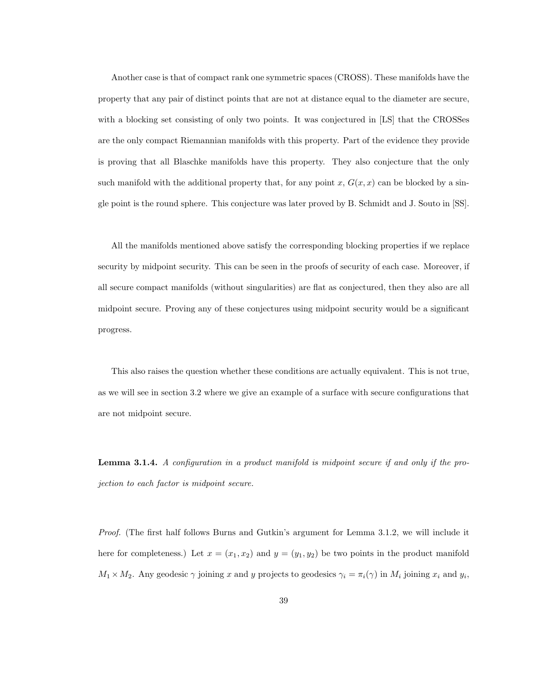Another case is that of compact rank one symmetric spaces (CROSS). These manifolds have the property that any pair of distinct points that are not at distance equal to the diameter are secure, with a blocking set consisting of only two points. It was conjectured in [LS] that the CROSSes are the only compact Riemannian manifolds with this property. Part of the evidence they provide is proving that all Blaschke manifolds have this property. They also conjecture that the only such manifold with the additional property that, for any point x,  $G(x, x)$  can be blocked by a single point is the round sphere. This conjecture was later proved by B. Schmidt and J. Souto in [SS].

All the manifolds mentioned above satisfy the corresponding blocking properties if we replace security by midpoint security. This can be seen in the proofs of security of each case. Moreover, if all secure compact manifolds (without singularities) are flat as conjectured, then they also are all midpoint secure. Proving any of these conjectures using midpoint security would be a significant progress.

This also raises the question whether these conditions are actually equivalent. This is not true, as we will see in section 3.2 where we give an example of a surface with secure configurations that are not midpoint secure.

Lemma 3.1.4. A configuration in a product manifold is midpoint secure if and only if the projection to each factor is midpoint secure.

Proof. (The first half follows Burns and Gutkin's argument for Lemma 3.1.2, we will include it here for completeness.) Let  $x = (x_1, x_2)$  and  $y = (y_1, y_2)$  be two points in the product manifold  $M_1 \times M_2$ . Any geodesic  $\gamma$  joining x and y projects to geodesics  $\gamma_i = \pi_i(\gamma)$  in  $M_i$  joining  $x_i$  and  $y_i$ ,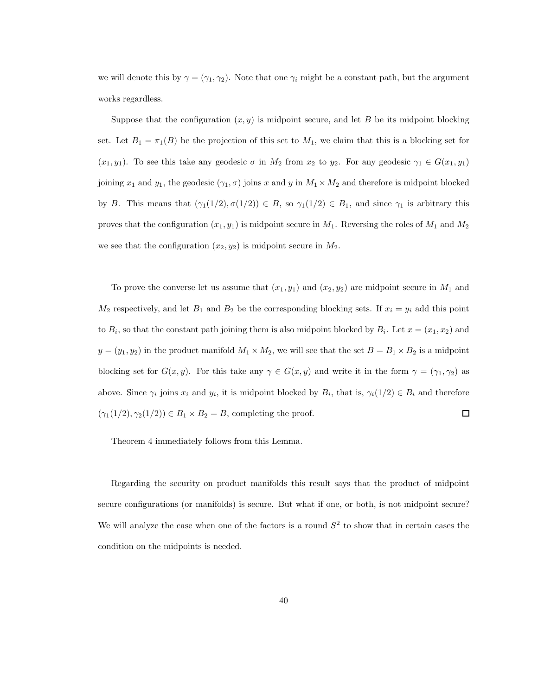we will denote this by  $\gamma = (\gamma_1, \gamma_2)$ . Note that one  $\gamma_i$  might be a constant path, but the argument works regardless.

Suppose that the configuration  $(x, y)$  is midpoint secure, and let B be its midpoint blocking set. Let  $B_1 = \pi_1(B)$  be the projection of this set to  $M_1$ , we claim that this is a blocking set for  $(x_1, y_1)$ . To see this take any geodesic  $\sigma$  in  $M_2$  from  $x_2$  to  $y_2$ . For any geodesic  $\gamma_1 \in G(x_1, y_1)$ joining  $x_1$  and  $y_1$ , the geodesic  $(\gamma_1, \sigma)$  joins x and y in  $M_1 \times M_2$  and therefore is midpoint blocked by B. This means that  $(\gamma_1(1/2), \sigma(1/2)) \in B$ , so  $\gamma_1(1/2) \in B_1$ , and since  $\gamma_1$  is arbitrary this proves that the configuration  $(x_1, y_1)$  is midpoint secure in  $M_1$ . Reversing the roles of  $M_1$  and  $M_2$ we see that the configuration  $(x_2, y_2)$  is midpoint secure in  $M_2$ .

To prove the converse let us assume that  $(x_1, y_1)$  and  $(x_2, y_2)$  are midpoint secure in  $M_1$  and  $M_2$  respectively, and let  $B_1$  and  $B_2$  be the corresponding blocking sets. If  $x_i = y_i$  add this point to  $B_i$ , so that the constant path joining them is also midpoint blocked by  $B_i$ . Let  $x = (x_1, x_2)$  and  $y = (y_1, y_2)$  in the product manifold  $M_1 \times M_2$ , we will see that the set  $B = B_1 \times B_2$  is a midpoint blocking set for  $G(x, y)$ . For this take any  $\gamma \in G(x, y)$  and write it in the form  $\gamma = (\gamma_1, \gamma_2)$  as above. Since  $\gamma_i$  joins  $x_i$  and  $y_i$ , it is midpoint blocked by  $B_i$ , that is,  $\gamma_i(1/2) \in B_i$  and therefore  $(\gamma_1(1/2), \gamma_2(1/2)) \in B_1 \times B_2 = B$ , completing the proof.  $\Box$ 

Theorem 4 immediately follows from this Lemma.

Regarding the security on product manifolds this result says that the product of midpoint secure configurations (or manifolds) is secure. But what if one, or both, is not midpoint secure? We will analyze the case when one of the factors is a round  $S^2$  to show that in certain cases the condition on the midpoints is needed.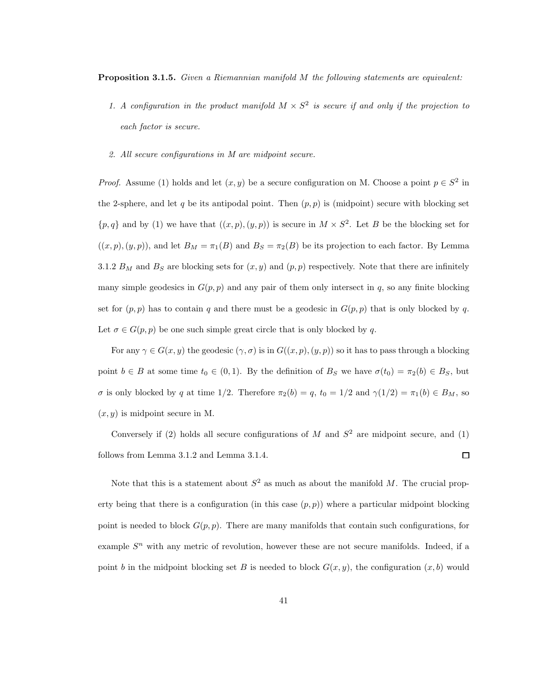Proposition 3.1.5. Given a Riemannian manifold M the following statements are equivalent:

- 1. A configuration in the product manifold  $M \times S^2$  is secure if and only if the projection to each factor is secure.
- 2. All secure configurations in M are midpoint secure.

*Proof.* Assume (1) holds and let  $(x, y)$  be a secure configuration on M. Choose a point  $p \in S^2$  in the 2-sphere, and let q be its antipodal point. Then  $(p, p)$  is (midpoint) secure with blocking set  $\{p,q\}$  and by (1) we have that  $((x,p),(y,p))$  is secure in  $M \times S^2$ . Let B be the blocking set for  $((x, p), (y, p))$ , and let  $B_M = \pi_1(B)$  and  $B_S = \pi_2(B)$  be its projection to each factor. By Lemma 3.1.2  $B_M$  and  $B_S$  are blocking sets for  $(x, y)$  and  $(p, p)$  respectively. Note that there are infinitely many simple geodesics in  $G(p, p)$  and any pair of them only intersect in q, so any finite blocking set for  $(p, p)$  has to contain q and there must be a geodesic in  $G(p, p)$  that is only blocked by q. Let  $\sigma \in G(p, p)$  be one such simple great circle that is only blocked by q.

For any  $\gamma \in G(x, y)$  the geodesic  $(\gamma, \sigma)$  is in  $G((x, p), (y, p))$  so it has to pass through a blocking point  $b \in B$  at some time  $t_0 \in (0,1)$ . By the definition of  $B_S$  we have  $\sigma(t_0) = \pi_2(b) \in B_S$ , but σ is only blocked by q at time 1/2. Therefore  $\pi_2(b) = q$ ,  $t_0 = 1/2$  and  $\gamma(1/2) = \pi_1(b) \in B_M$ , so  $(x, y)$  is midpoint secure in M.

Conversely if (2) holds all secure configurations of M and  $S<sup>2</sup>$  are midpoint secure, and (1) follows from Lemma 3.1.2 and Lemma 3.1.4.  $\Box$ 

Note that this is a statement about  $S^2$  as much as about the manifold M. The crucial property being that there is a configuration (in this case  $(p, p)$ ) where a particular midpoint blocking point is needed to block  $G(p, p)$ . There are many manifolds that contain such configurations, for example  $S<sup>n</sup>$  with any metric of revolution, however these are not secure manifolds. Indeed, if a point b in the midpoint blocking set B is needed to block  $G(x, y)$ , the configuration  $(x, b)$  would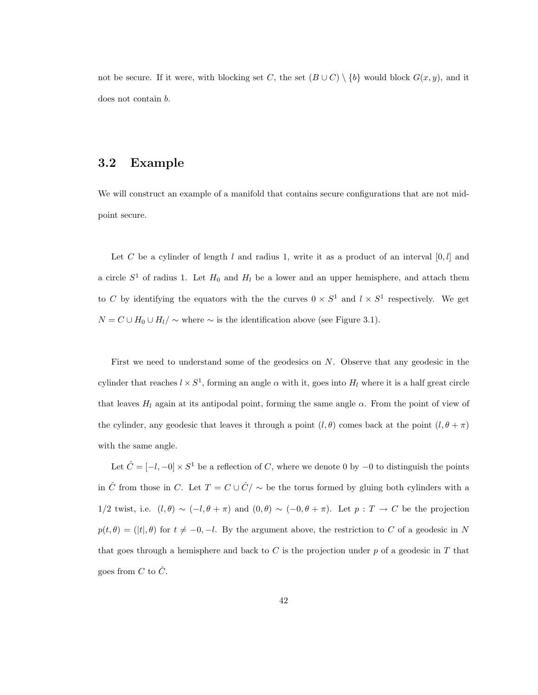not be secure. If it were, with blocking set C, the set  $(B\cup C)\setminus\{b\}$  would block  $G(x, y)$ , and it does not contain b.

### 3.2 Example

We will construct an example of a manifold that contains secure configurations that are not midpoint secure.

Let C be a cylinder of length l and radius 1, write it as a product of an interval  $[0, l]$  and a circle  $S^1$  of radius 1. Let  $H_0$  and  $H_l$  be a lower and an upper hemisphere, and attach them to C by identifying the equators with the the curves  $0 \times S^1$  and  $l \times S^1$  respectively. We get  $N = C \cup H_0 \cup H_1/\sim$  where  $\sim$  is the identification above (see Figure 3.1).

First we need to understand some of the geodesics on  $N$ . Observe that any geodesic in the cylinder that reaches  $l \times S^1$ , forming an angle  $\alpha$  with it, goes into  $H_l$  where it is a half great circle that leaves  $H_l$  again at its antipodal point, forming the same angle  $\alpha$ . From the point of view of the cylinder, any geodesic that leaves it through a point  $(l, \theta)$  comes back at the point  $(l, \theta + \pi)$ with the same angle.

Let  $\hat{C} = [-l, -0] \times S^1$  be a reflection of C, where we denote 0 by  $-0$  to distinguish the points in  $\hat{C}$  from those in C. Let  $T = C \cup \hat{C}/\sim$  be the torus formed by gluing both cylinders with a 1/2 twist, i.e.  $(l, \theta) \sim (-l, \theta + \pi)$  and  $(0, \theta) \sim (-0, \theta + \pi)$ . Let  $p : T \to C$  be the projection  $p(t, \theta) = (|t|, \theta)$  for  $t \neq -0, -l$ . By the argument above, the restriction to C of a geodesic in N that goes through a hemisphere and back to  $C$  is the projection under  $p$  of a geodesic in  $T$  that goes from C to  $\hat{C}$ .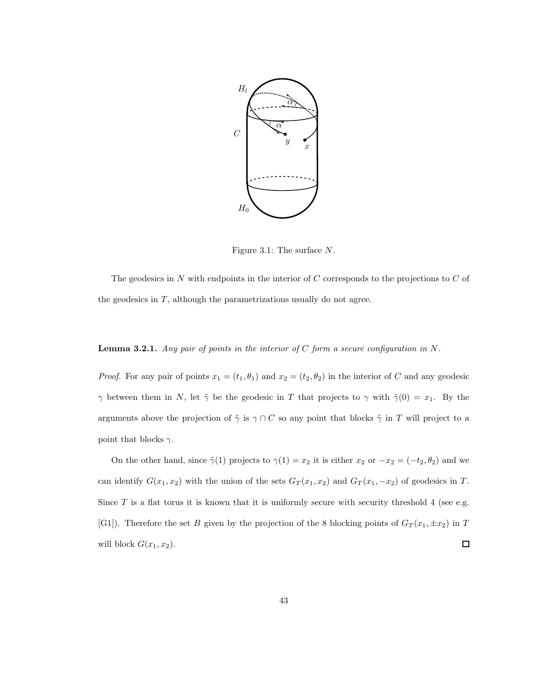

Figure 3.1: The surface N.

The geodesics in  $N$  with endpoints in the interior of  $C$  corresponds to the projections to  $C$  of the geodesics in  $T$ , although the parametrizations usually do not agree.

#### **Lemma 3.2.1.** Any pair of points in the interior of C form a secure configuration in  $N$ .

*Proof.* For any pair of points  $x_1 = (t_1, \theta_1)$  and  $x_2 = (t_2, \theta_2)$  in the interior of C and any geodesic  $\gamma$  between them in N, let  $\tilde{\gamma}$  be the geodesic in T that projects to  $\gamma$  with  $\tilde{\gamma}(0) = x_1$ . By the arguments above the projection of  $\tilde{\gamma}$  is  $\gamma \cap C$  so any point that blocks  $\tilde{\gamma}$  in T will project to a point that blocks  $\gamma$ .

On the other hand, since  $\tilde{\gamma}(1)$  projects to  $\gamma(1) = x_2$  it is either  $x_2$  or  $-x_2 = (-t_2, \theta_2)$  and we can identify  $G(x_1, x_2)$  with the union of the sets  $G_T(x_1, x_2)$  and  $G_T(x_1, -x_2)$  of geodesics in T. Since  $T$  is a flat torus it is known that it is uniformly secure with security threshold 4 (see e.g. [G1]). Therefore the set B given by the projection of the 8 blocking points of  $G_T(x_1, \pm x_2)$  in T will block  $G(x_1, x_2)$ .  $\Box$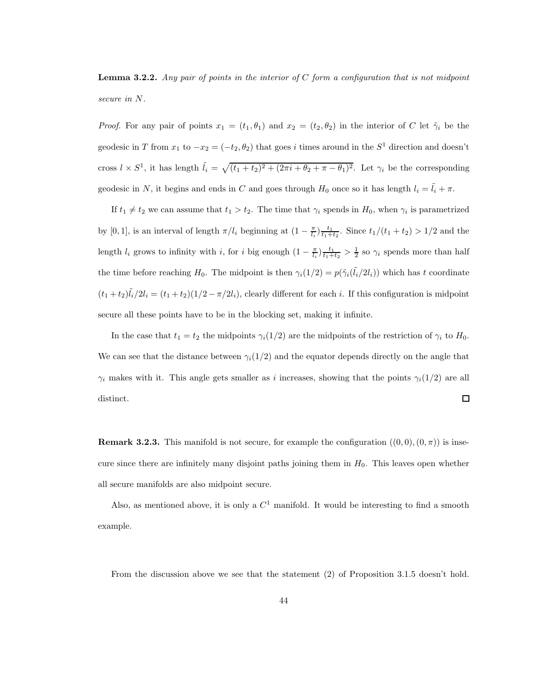**Lemma 3.2.2.** Any pair of points in the interior of C form a configuration that is not midpoint secure in N.

*Proof.* For any pair of points  $x_1 = (t_1, \theta_1)$  and  $x_2 = (t_2, \theta_2)$  in the interior of C let  $\tilde{\gamma}_i$  be the geodesic in T from  $x_1$  to  $-x_2 = (-t_2, \theta_2)$  that goes i times around in the  $S^1$  direction and doesn't cross  $l \times S^1$ , it has length  $\tilde{l}_i = \sqrt{(t_1 + t_2)^2 + (2\pi i + \theta_2 + \pi - \theta_1)^2}$ . Let  $\gamma_i$  be the corresponding geodesic in N, it begins and ends in C and goes through  $H_0$  once so it has length  $l_i = \tilde{l}_i + \pi$ .

If  $t_1 \neq t_2$  we can assume that  $t_1 > t_2$ . The time that  $\gamma_i$  spends in  $H_0$ , when  $\gamma_i$  is parametrized by [0, 1], is an interval of length  $\pi/l_i$  beginning at  $(1 - \frac{\pi}{l_i}) \frac{t_1}{t_1 + t_2}$ . Since  $t_1/(t_1 + t_2) > 1/2$  and the length  $l_i$  grows to infinity with i, for i big enough  $(1 - \frac{\pi}{l_i}) \frac{t_1}{t_1+t_2} > \frac{1}{2}$  so  $\gamma_i$  spends more than half the time before reaching  $H_0$ . The midpoint is then  $\gamma_i(1/2) = p(\tilde{\gamma}_i(\tilde{l}_i/2l_i))$  which has t coordinate  $(t_1+t_2)\tilde{l}_i/2l_i = (t_1+t_2)(1/2-\pi/2l_i)$ , clearly different for each i. If this configuration is midpoint secure all these points have to be in the blocking set, making it infinite.

In the case that  $t_1 = t_2$  the midpoints  $\gamma_i(1/2)$  are the midpoints of the restriction of  $\gamma_i$  to  $H_0$ . We can see that the distance between  $\gamma_i(1/2)$  and the equator depends directly on the angle that  $\gamma_i$  makes with it. This angle gets smaller as i increases, showing that the points  $\gamma_i(1/2)$  are all  $\Box$ distinct.

**Remark 3.2.3.** This manifold is not secure, for example the configuration  $((0,0), (0,\pi))$  is insecure since there are infinitely many disjoint paths joining them in  $H_0$ . This leaves open whether all secure manifolds are also midpoint secure.

Also, as mentioned above, it is only a  $C<sup>1</sup>$  manifold. It would be interesting to find a smooth example.

From the discussion above we see that the statement (2) of Proposition 3.1.5 doesn't hold.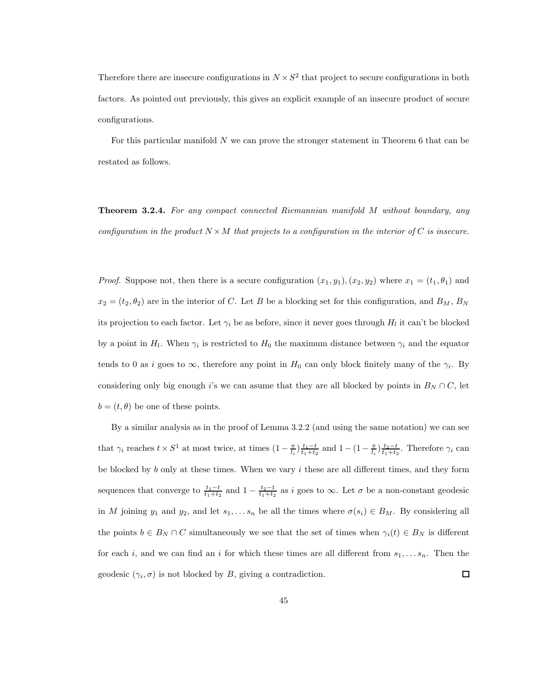Therefore there are insecure configurations in  $N \times S^2$  that project to secure configurations in both factors. As pointed out previously, this gives an explicit example of an insecure product of secure configurations.

For this particular manifold N we can prove the stronger statement in Theorem 6 that can be restated as follows.

**Theorem 3.2.4.** For any compact connected Riemannian manifold M without boundary, any configuration in the product  $N \times M$  that projects to a configuration in the interior of C is insecure.

*Proof.* Suppose not, then there is a secure configuration  $(x_1, y_1), (x_2, y_2)$  where  $x_1 = (t_1, \theta_1)$  and  $x_2 = (t_2, \theta_2)$  are in the interior of C. Let B be a blocking set for this configuration, and  $B_M$ ,  $B_N$ its projection to each factor. Let  $\gamma_i$  be as before, since it never goes through  $H_l$  it can't be blocked by a point in  $H_l$ . When  $\gamma_i$  is restricted to  $H_0$  the maximum distance between  $\gamma_i$  and the equator tends to 0 as i goes to  $\infty$ , therefore any point in  $H_0$  can only block finitely many of the  $\gamma_i$ . By considering only big enough i's we can asume that they are all blocked by points in  $B_N \cap C$ , let  $b = (t, \theta)$  be one of these points.

By a similar analysis as in the proof of Lemma 3.2.2 (and using the same notation) we can see that  $\gamma_i$  reaches  $t \times S^1$  at most twice, at times  $(1 - \frac{\pi}{l_i}) \frac{t_1 - t}{t_1 + t_2}$  and  $1 - (1 - \frac{\pi}{l_i}) \frac{t_2 - t}{t_1 + t_2}$ . Therefore  $\gamma_i$  can be blocked by  $b$  only at these times. When we vary  $i$  these are all different times, and they form sequences that converge to  $\frac{t_1-t}{t_1+t_2}$  and  $1-\frac{t_2-t}{t_1+t_2}$  as i goes to  $\infty$ . Let  $\sigma$  be a non-constant geodesic in M joining  $y_1$  and  $y_2$ , and let  $s_1, \ldots s_n$  be all the times where  $\sigma(s_i) \in B_M$ . By considering all the points  $b \in B_N \cap C$  simultaneously we see that the set of times when  $\gamma_i(t) \in B_N$  is different for each i, and we can find an i for which these times are all different from  $s_1, \ldots s_n$ . Then the geodesic  $(\gamma_i, \sigma)$  is not blocked by B, giving a contradiction.  $\Box$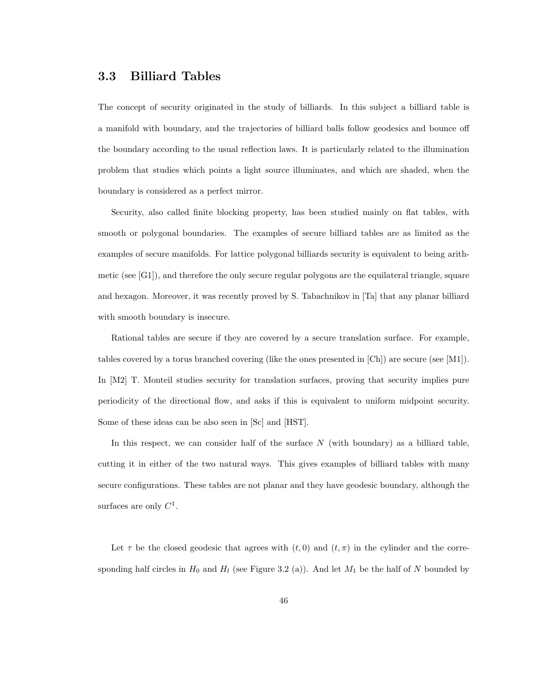### 3.3 Billiard Tables

The concept of security originated in the study of billiards. In this subject a billiard table is a manifold with boundary, and the trajectories of billiard balls follow geodesics and bounce off the boundary according to the usual reflection laws. It is particularly related to the illumination problem that studies which points a light source illuminates, and which are shaded, when the boundary is considered as a perfect mirror.

Security, also called finite blocking property, has been studied mainly on flat tables, with smooth or polygonal boundaries. The examples of secure billiard tables are as limited as the examples of secure manifolds. For lattice polygonal billiards security is equivalent to being arithmetic (see  $[G1]$ ), and therefore the only secure regular polygons are the equilateral triangle, square and hexagon. Moreover, it was recently proved by S. Tabachnikov in [Ta] that any planar billiard with smooth boundary is insecure.

Rational tables are secure if they are covered by a secure translation surface. For example, tables covered by a torus branched covering (like the ones presented in [Ch]) are secure (see [M1]). In [M2] T. Monteil studies security for translation surfaces, proving that security implies pure periodicity of the directional flow, and asks if this is equivalent to uniform midpoint security. Some of these ideas can be also seen in [Sc] and [HST].

In this respect, we can consider half of the surface  $N$  (with boundary) as a billiard table, cutting it in either of the two natural ways. This gives examples of billiard tables with many secure configurations. These tables are not planar and they have geodesic boundary, although the surfaces are only  $C^1$ .

Let  $\tau$  be the closed geodesic that agrees with  $(t, 0)$  and  $(t, \pi)$  in the cylinder and the corresponding half circles in  $H_0$  and  $H_l$  (see Figure 3.2 (a)). And let  $M_1$  be the half of N bounded by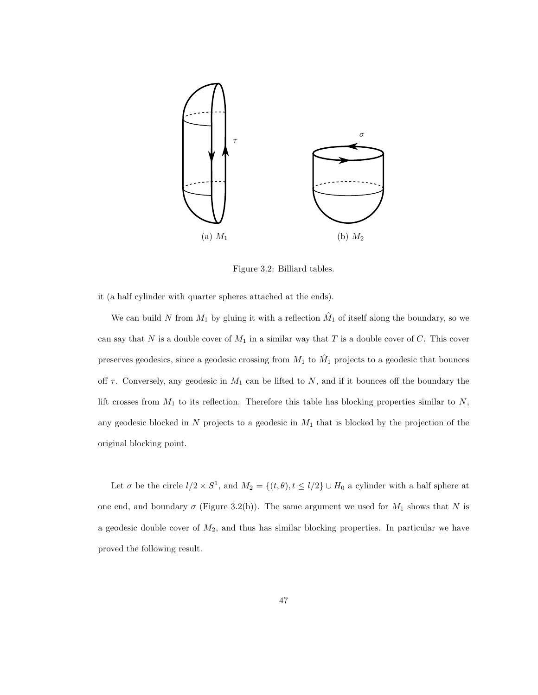

Figure 3.2: Billiard tables.

it (a half cylinder with quarter spheres attached at the ends).

We can build N from  $M_1$  by gluing it with a reflection  $\hat{M}_1$  of itself along the boundary, so we can say that N is a double cover of  $M_1$  in a similar way that T is a double cover of C. This cover preserves geodesics, since a geodesic crossing from  $M_1$  to  $\hat{M}_1$  projects to a geodesic that bounces off  $\tau$ . Conversely, any geodesic in  $M_1$  can be lifted to  $N$ , and if it bounces off the boundary the lift crosses from  $M_1$  to its reflection. Therefore this table has blocking properties similar to  $N$ , any geodesic blocked in  $N$  projects to a geodesic in  $M_1$  that is blocked by the projection of the original blocking point.

Let  $\sigma$  be the circle  $l/2 \times S^1$ , and  $M_2 = \{(t, \theta), t \le l/2\} \cup H_0$  a cylinder with a half sphere at one end, and boundary  $\sigma$  (Figure 3.2(b)). The same argument we used for  $M_1$  shows that N is a geodesic double cover of  $M_2$ , and thus has similar blocking properties. In particular we have proved the following result.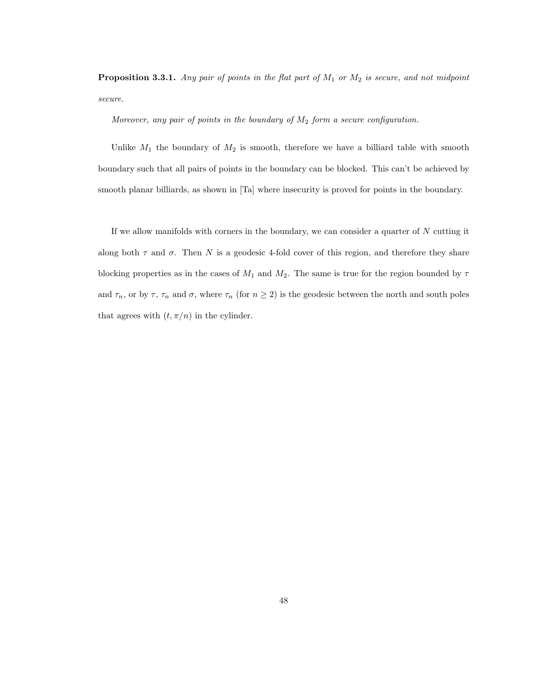**Proposition 3.3.1.** Any pair of points in the flat part of  $M_1$  or  $M_2$  is secure, and not midpoint secure.

#### Moreover, any pair of points in the boundary of  $M_2$  form a secure configuration.

Unlike  $M_1$  the boundary of  $M_2$  is smooth, therefore we have a billiard table with smooth boundary such that all pairs of points in the boundary can be blocked. This can't be achieved by smooth planar billiards, as shown in [Ta] where insecurity is proved for points in the boundary.

If we allow manifolds with corners in the boundary, we can consider a quarter of  $N$  cutting it along both  $\tau$  and  $\sigma$ . Then N is a geodesic 4-fold cover of this region, and therefore they share blocking properties as in the cases of  $M_1$  and  $M_2$ . The same is true for the region bounded by  $\tau$ and  $\tau_n$ , or by  $\tau$ ,  $\tau_n$  and  $\sigma$ , where  $\tau_n$  (for  $n \geq 2$ ) is the geodesic between the north and south poles that agrees with  $(t, \pi/n)$  in the cylinder.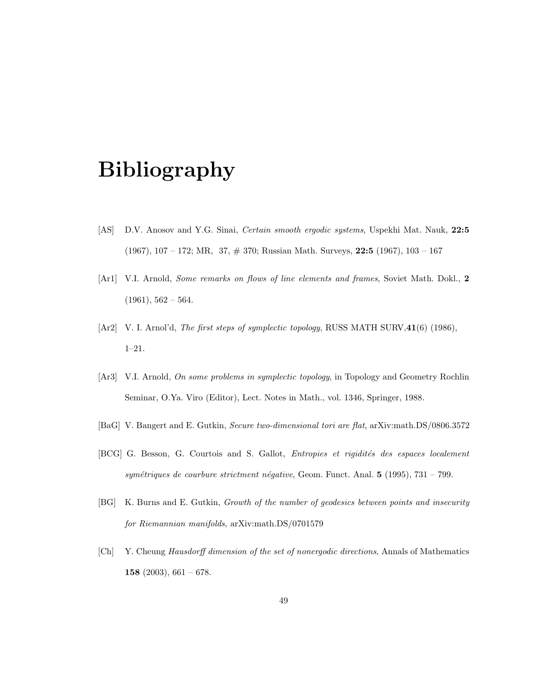# Bibliography

- [AS] D.V. Anosov and Y.G. Sinai, *Certain smooth ergodic systems*, Uspekhi Mat. Nauk, 22:5 (1967), 107 – 172; MR, 37, # 370; Russian Math. Surveys, 22:5 (1967), 103 – 167
- [Ar1] V.I. Arnold, Some remarks on flows of line elements and frames, Soviet Math. Dokl., 2  $(1961), 562 - 564.$
- [Ar2] V. I. Arnol'd, *The first steps of symplectic topology*, RUSS MATH SURV, 41(6) (1986), 1–21.
- [Ar3] V.I. Arnold, On some problems in symplectic topology, in Topology and Geometry Rochlin Seminar, O.Ya. Viro (Editor), Lect. Notes in Math., vol. 1346, Springer, 1988.
- [BaG] V. Bangert and E. Gutkin, Secure two-dimensional tori are flat, arXiv:math.DS/0806.3572
- [BCG] G. Besson, G. Courtois and S. Gallot, *Entropies et rigidités des espaces localement* symétriques de courbure strictment négative, Geom. Funct. Anal.  $5$  (1995), 731 – 799.
- [BG] K. Burns and E. Gutkin, Growth of the number of geodesics between points and insecurity for Riemannian manifolds, arXiv:math.DS/0701579
- [Ch] Y. Cheung Hausdorff dimension of the set of nonergodic directions, Annals of Mathematics 158 (2003),  $661 - 678$ .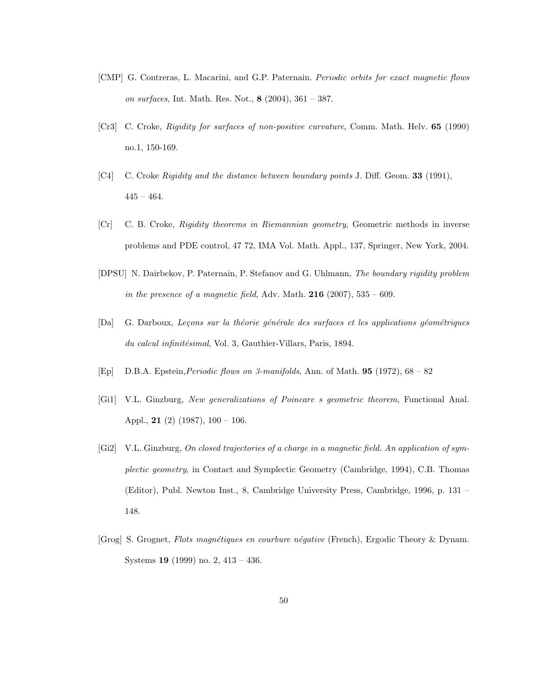- [CMP] G. Contreras, L. Macarini, and G.P. Paternain. Periodic orbits for exact magnetic flows on surfaces, Int. Math. Res. Not., 8 (2004), 361 – 387.
- [Cr3] C. Croke, Rigidity for surfaces of non-positive curvature, Comm. Math. Helv. 65 (1990) no.1, 150-169.
- [C4] C. Croke Rigidity and the distance between boundary points J. Diff. Geom. 33 (1991),  $445 - 464.$
- [Cr] C. B. Croke, Rigidity theorems in Riemannian geometry, Geometric methods in inverse problems and PDE control, 47 72, IMA Vol. Math. Appl., 137, Springer, New York, 2004.
- [DPSU] N. Dairbekov, P. Paternain, P. Stefanov and G. Uhlmann, The boundary rigidity problem in the presence of a magnetic field, Adv. Math.  $216$  (2007),  $535 - 609$ .
- [Da] G. Darboux, Leçons sur la théorie générale des surfaces et les applications géométriques du calcul infinitésimal, Vol. 3, Gauthier-Villars, Paris, 1894.
- [Ep] D.B.A. Epstein,Periodic flows on 3-manifolds, Ann. of Math. 95 (1972), 68 82
- [Gi1] V.L. Ginzburg, New generalizations of Poincare s geometric theorem, Functional Anal. Appl., **21** (2) (1987),  $100 - 106$ .
- [Gi2] V.L. Ginzburg, On closed trajectories of a charge in a magnetic field. An application of symplectic geometry, in Contact and Symplectic Geometry (Cambridge, 1994), C.B. Thomas (Editor), Publ. Newton Inst., 8, Cambridge University Press, Cambridge, 1996, p. 131 – 148.
- [Grog] S. Grognet, Flots magn´etiques en courbure n´egative (French), Ergodic Theory & Dynam. Systems 19 (1999) no. 2, 413 – 436.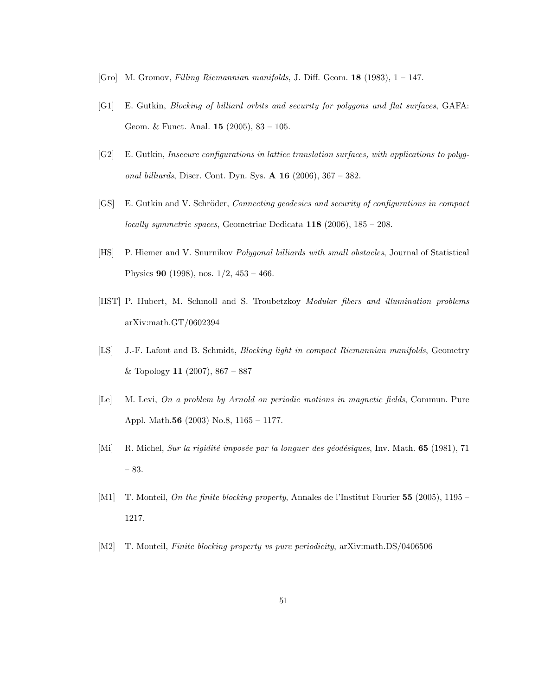- [Gro] M. Gromov, Filling Riemannian manifolds, J. Diff. Geom. 18 (1983), 1 147.
- [G1] E. Gutkin, Blocking of billiard orbits and security for polygons and flat surfaces, GAFA: Geom. & Funct. Anal. 15 (2005), 83 – 105.
- [G2] E. Gutkin, Insecure configurations in lattice translation surfaces, with applications to polygonal billiards, Discr. Cont. Dyn. Sys.  $\bf{A}$  16 (2006), 367 – 382.
- [GS] E. Gutkin and V. Schröder, Connecting geodesics and security of configurations in compact locally symmetric spaces, Geometriae Dedicata  $118$  (2006),  $185 - 208$ .
- [HS] P. Hiemer and V. Snurnikov Polygonal billiards with small obstacles, Journal of Statistical Physics 90 (1998), nos. 1/2, 453 – 466.
- [HST] P. Hubert, M. Schmoll and S. Troubetzkoy Modular fibers and illumination problems arXiv:math.GT/0602394
- [LS] J.-F. Lafont and B. Schmidt, Blocking light in compact Riemannian manifolds, Geometry & Topology 11 (2007),  $867 - 887$
- [Le] M. Levi, On a problem by Arnold on periodic motions in magnetic fields, Commun. Pure Appl. Math.56 (2003) No.8, 1165 – 1177.
- [Mi] R. Michel, Sur la rigidité imposée par la longuer des géodésiques, Inv. Math. 65 (1981), 71 – 83.
- [M1] T. Monteil, On the finite blocking property, Annales de l'Institut Fourier 55 (2005), 1195 1217.
- [M2] T. Monteil, Finite blocking property vs pure periodicity, arXiv:math.DS/0406506